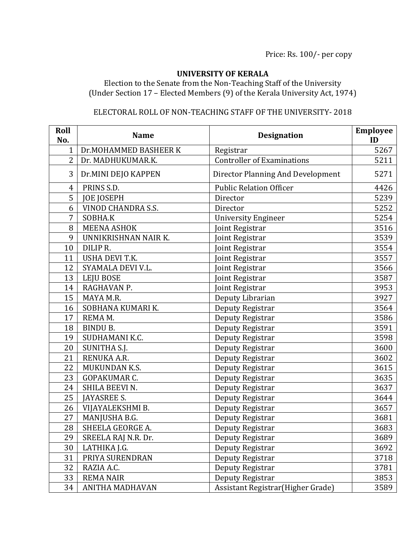## **UNIVERSITY OF KERALA**

Election to the Senate from the Non-Teaching Staff of the University (Under Section 17 – Elected Members (9) of the Kerala University Act, 1974)

## ELECTORAL ROLL OF NON-TEACHING STAFF OF THE UNIVERSITY- 2018

| Roll<br>No.    | <b>Name</b>               | <b>Designation</b>                 | <b>Employee</b><br>ID |
|----------------|---------------------------|------------------------------------|-----------------------|
| $\mathbf{1}$   | Dr.MOHAMMED BASHEER K     | Registrar                          | 5267                  |
| $\overline{2}$ | Dr. MADHUKUMAR.K.         | <b>Controller of Examinations</b>  | 5211                  |
| 3              | Dr.MINI DEJO KAPPEN       | Director Planning And Development  | 5271                  |
| 4              | PRINS S.D.                | <b>Public Relation Officer</b>     | 4426                  |
| 5              | <b>JOE JOSEPH</b>         | Director                           | 5239                  |
| 6              | <b>VINOD CHANDRA S.S.</b> | Director                           | 5252                  |
| 7              | SOBHA.K                   | <b>University Engineer</b>         | 5254                  |
| 8              | <b>MEENA ASHOK</b>        | Joint Registrar                    | 3516                  |
| 9              | UNNIKRISHNAN NAIR K.      | Joint Registrar                    | 3539                  |
| 10             | DILIP R.                  | Joint Registrar                    | 3554                  |
| 11             | <b>USHA DEVI T.K.</b>     | Joint Registrar                    | 3557                  |
| 12             | SYAMALA DEVI V.L.         | Joint Registrar                    | 3566                  |
| 13             | LEJU BOSE                 | Joint Registrar                    | 3587                  |
| 14             | RAGHAVAN P.               | Joint Registrar                    | 3953                  |
| 15             | MAYA M.R.                 | Deputy Librarian                   | 3927                  |
| 16             | SOBHANA KUMARI K.         | Deputy Registrar                   | 3564                  |
| 17             | REMA M.                   | Deputy Registrar                   | 3586                  |
| 18             | <b>BINDU B.</b>           | Deputy Registrar                   | 3591                  |
| 19             | SUDHAMANI K.C.            | Deputy Registrar                   | 3598                  |
| 20             | SUNITHA S.J.              | Deputy Registrar                   | 3600                  |
| 21             | RENUKA A.R.               | Deputy Registrar                   | 3602                  |
| 22             | MUKUNDAN K.S.             | Deputy Registrar                   | 3615                  |
| 23             | GOPAKUMAR C.              | Deputy Registrar                   | 3635                  |
| 24             | SHILA BEEVI N.            | Deputy Registrar                   | 3637                  |
| 25             | <b>JAYASREE S.</b>        | Deputy Registrar                   | 3644                  |
| 26             | VIJAYALEKSHMI B.          | Deputy Registrar                   | 3657                  |
| 27             | MANJUSHA B.G.             | Deputy Registrar                   | 3681                  |
| 28             | SHEELA GEORGE A.          | Deputy Registrar                   | 3683                  |
| 29             | SREELA RAJ N.R. Dr.       | Deputy Registrar                   | 3689                  |
| 30             | LATHIKA J.G.              | Deputy Registrar                   | 3692                  |
| 31             | PRIYA SURENDRAN           | Deputy Registrar                   | 3718                  |
| 32             | RAZIA A.C.                | Deputy Registrar                   | 3781                  |
| 33             | <b>REMA NAIR</b>          | Deputy Registrar                   | 3853                  |
| 34             | ANITHA MADHAVAN           | Assistant Registrar (Higher Grade) | 3589                  |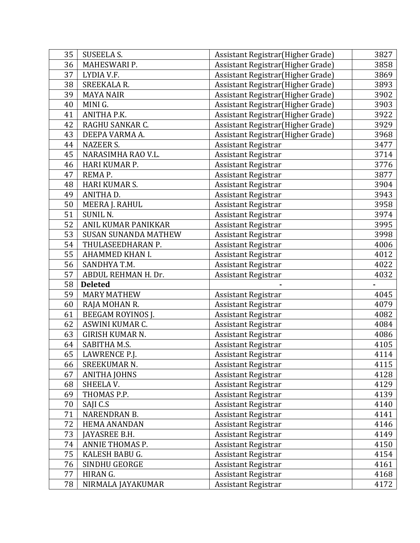| 35 | <b>SUSEELA S.</b>           | Assistant Registrar (Higher Grade) | 3827 |
|----|-----------------------------|------------------------------------|------|
| 36 | MAHESWARI P.                | Assistant Registrar (Higher Grade) | 3858 |
| 37 | LYDIA V.F.                  | Assistant Registrar (Higher Grade) | 3869 |
| 38 | <b>SREEKALA R.</b>          | Assistant Registrar (Higher Grade) | 3893 |
| 39 | <b>MAYA NAIR</b>            | Assistant Registrar (Higher Grade) | 3902 |
| 40 | MINI G.                     | Assistant Registrar (Higher Grade) | 3903 |
| 41 | ANITHA P.K.                 | Assistant Registrar (Higher Grade) | 3922 |
| 42 | RAGHU SANKAR C.             | Assistant Registrar(Higher Grade)  | 3929 |
| 43 | DEEPA VARMA A.              | Assistant Registrar (Higher Grade) | 3968 |
| 44 | <b>NAZEER S.</b>            | Assistant Registrar                | 3477 |
| 45 | NARASIMHA RAO V.L.          | Assistant Registrar                | 3714 |
| 46 | HARI KUMAR P.               | <b>Assistant Registrar</b>         | 3776 |
| 47 | REMA P.                     | <b>Assistant Registrar</b>         | 3877 |
| 48 | <b>HARI KUMAR S.</b>        | Assistant Registrar                | 3904 |
| 49 | ANITHA D.                   | <b>Assistant Registrar</b>         | 3943 |
| 50 | <b>MEERA J. RAHUL</b>       | <b>Assistant Registrar</b>         | 3958 |
| 51 | <b>SUNIL N.</b>             | Assistant Registrar                | 3974 |
| 52 | ANIL KUMAR PANIKKAR         | Assistant Registrar                | 3995 |
| 53 | <b>SUSAN SUNANDA MATHEW</b> | <b>Assistant Registrar</b>         | 3998 |
| 54 | THULASEEDHARAN P.           | <b>Assistant Registrar</b>         | 4006 |
| 55 | AHAMMED KHAN I.             | <b>Assistant Registrar</b>         | 4012 |
| 56 | SANDHYA T.M.                | Assistant Registrar                | 4022 |
| 57 | ABDUL REHMAN H. Dr.         | <b>Assistant Registrar</b>         | 4032 |
| 58 | <b>Deleted</b>              |                                    |      |
| 59 | <b>MARY MATHEW</b>          | <b>Assistant Registrar</b>         | 4045 |
| 60 | RAJA MOHAN R.               | <b>Assistant Registrar</b>         | 4079 |
| 61 | <b>BEEGAM ROYINOS J.</b>    | <b>Assistant Registrar</b>         | 4082 |
| 62 | ASWINI KUMAR C.             | Assistant Registrar                | 4084 |
| 63 | <b>GIRISH KUMAR N.</b>      | Assistant Registrar                | 4086 |
| 64 | SABITHA M.S.                | <b>Assistant Registrar</b>         | 4105 |
| 65 | LAWRENCE P.J.               | <b>Assistant Registrar</b>         | 4114 |
| 66 | SREEKUMAR N.                | <b>Assistant Registrar</b>         | 4115 |
| 67 | <b>ANITHA JOHNS</b>         | <b>Assistant Registrar</b>         | 4128 |
| 68 | SHEELA V.                   | <b>Assistant Registrar</b>         | 4129 |
| 69 | THOMAS P.P.                 | <b>Assistant Registrar</b>         | 4139 |
| 70 | SAJI C.S                    | Assistant Registrar                | 4140 |
| 71 | NARENDRAN B.                | <b>Assistant Registrar</b>         | 4141 |
| 72 | HEMA ANANDAN                | Assistant Registrar                | 4146 |
| 73 |                             |                                    | 4149 |
|    | JAYASREE B.H.               | Assistant Registrar                |      |
| 74 | ANNIE THOMAS P.             | <b>Assistant Registrar</b>         | 4150 |
| 75 | KALESH BABU G.              | <b>Assistant Registrar</b>         | 4154 |
| 76 | SINDHU GEORGE               | <b>Assistant Registrar</b>         | 4161 |
| 77 | HIRAN G.                    | Assistant Registrar                | 4168 |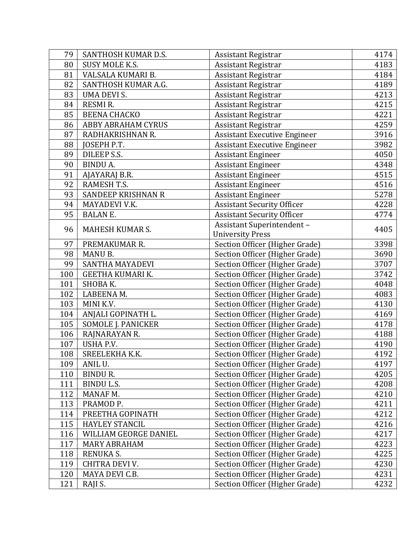| 79  | SANTHOSH KUMAR D.S.       | <b>Assistant Registrar</b>          | 4174 |
|-----|---------------------------|-------------------------------------|------|
| 80  | SUSY MOLE K.S.            | <b>Assistant Registrar</b>          | 4183 |
| 81  | VALSALA KUMARI B.         | <b>Assistant Registrar</b>          | 4184 |
| 82  | SANTHOSH KUMAR A.G.       | <b>Assistant Registrar</b>          | 4189 |
| 83  | <b>UMA DEVI S.</b>        | Assistant Registrar                 | 4213 |
| 84  | <b>RESMIR.</b>            | Assistant Registrar                 | 4215 |
| 85  | <b>BEENA CHACKO</b>       | <b>Assistant Registrar</b>          | 4221 |
| 86  | <b>ABBY ABRAHAM CYRUS</b> | Assistant Registrar                 | 4259 |
| 87  | RADHAKRISHNAN R.          | <b>Assistant Executive Engineer</b> | 3916 |
| 88  | JOSEPH P.T.               | <b>Assistant Executive Engineer</b> | 3982 |
| 89  | DILEEP S.S.               | <b>Assistant Engineer</b>           | 4050 |
| 90  | <b>BINDUA.</b>            | <b>Assistant Engineer</b>           | 4348 |
| 91  | AJAYARAJ B.R.             | <b>Assistant Engineer</b>           | 4515 |
| 92  | RAMESH T.S.               | <b>Assistant Engineer</b>           | 4516 |
| 93  | <b>SANDEEP KRISHNAN R</b> | <b>Assistant Engineer</b>           | 5278 |
| 94  | MAYADEVI V.K.             | <b>Assistant Security Officer</b>   | 4228 |
| 95  | <b>BALAN E.</b>           | <b>Assistant Security Officer</b>   | 4774 |
| 96  | MAHESH KUMAR S.           | Assistant Superintendent -          | 4405 |
|     |                           | <b>University Press</b>             |      |
| 97  | PREMAKUMAR R.             | Section Officer (Higher Grade)      | 3398 |
| 98  | MANU B.                   | Section Officer (Higher Grade)      | 3690 |
| 99  | SANTHA MAYADEVI           | Section Officer (Higher Grade)      | 3707 |
| 100 | GEETHA KUMARI K.          | Section Officer (Higher Grade)      | 3742 |
| 101 | SHOBA K.                  | Section Officer (Higher Grade)      | 4048 |
| 102 | LABEENA M.                | Section Officer (Higher Grade)      | 4083 |
| 103 | MINI K.V.                 | Section Officer (Higher Grade)      | 4130 |
| 104 | ANJALI GOPINATH L.        | Section Officer (Higher Grade)      | 4169 |
| 105 | <b>SOMOLE J. PANICKER</b> | Section Officer (Higher Grade)      | 4178 |
| 106 | RAJNARAYAN R.             | Section Officer (Higher Grade)      | 4188 |
| 107 | USHA P.V.                 | Section Officer (Higher Grade)      | 4190 |
| 108 | SREELEKHA K.K.            | Section Officer (Higher Grade)      | 4192 |
| 109 | ANIL U.                   | Section Officer (Higher Grade)      | 4197 |
| 110 | <b>BINDUR.</b>            | Section Officer (Higher Grade)      | 4205 |
| 111 | <b>BINDU L.S.</b>         | Section Officer (Higher Grade)      | 4208 |
| 112 | MANAF M.                  | Section Officer (Higher Grade)      | 4210 |
| 113 | PRAMOD <sub>P.</sub>      | Section Officer (Higher Grade)      | 4211 |
| 114 | PREETHA GOPINATH          | Section Officer (Higher Grade)      | 4212 |
| 115 | <b>HAYLEY STANCIL</b>     | Section Officer (Higher Grade)      | 4216 |
| 116 | WILLIAM GEORGE DANIEL     | Section Officer (Higher Grade)      | 4217 |
| 117 | <b>MARY ABRAHAM</b>       | Section Officer (Higher Grade)      | 4223 |
| 118 | <b>RENUKA S.</b>          | Section Officer (Higher Grade)      | 4225 |
| 119 | CHITRA DEVI V.            | Section Officer (Higher Grade)      | 4230 |
| 120 | MAYA DEVI C.B.            | Section Officer (Higher Grade)      | 4231 |
| 121 | RAJI S.                   | Section Officer (Higher Grade)      | 4232 |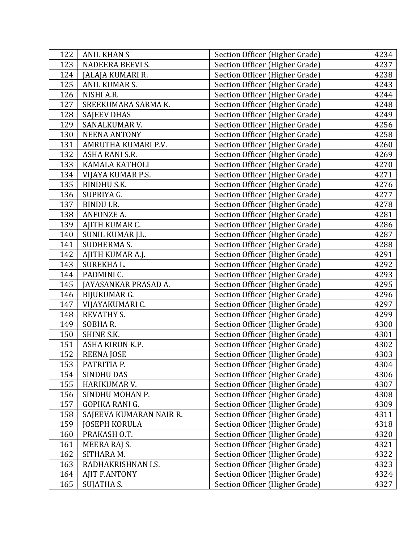| 122 | <b>ANIL KHAN S</b>      | Section Officer (Higher Grade) | 4234 |
|-----|-------------------------|--------------------------------|------|
| 123 | <b>NADEERA BEEVI S.</b> | Section Officer (Higher Grade) | 4237 |
| 124 | JALAJA KUMARI R.        | Section Officer (Higher Grade) | 4238 |
| 125 | ANIL KUMAR S.           | Section Officer (Higher Grade) | 4243 |
| 126 | NISHI A.R.              | Section Officer (Higher Grade) | 4244 |
| 127 | SREEKUMARA SARMA K.     | Section Officer (Higher Grade) | 4248 |
| 128 | <b>SAJEEV DHAS</b>      | Section Officer (Higher Grade) | 4249 |
| 129 | SANALKUMAR V.           | Section Officer (Higher Grade) | 4256 |
| 130 | <b>NEENA ANTONY</b>     | Section Officer (Higher Grade) | 4258 |
| 131 | AMRUTHA KUMARI P.V.     | Section Officer (Higher Grade) | 4260 |
| 132 | ASHA RANI S.R.          | Section Officer (Higher Grade) | 4269 |
| 133 | KAMALA KATHOLI          | Section Officer (Higher Grade) | 4270 |
| 134 | VIJAYA KUMAR P.S.       | Section Officer (Higher Grade) | 4271 |
| 135 | <b>BINDHU S.K.</b>      | Section Officer (Higher Grade) | 4276 |
| 136 | SUPRIYA G.              | Section Officer (Higher Grade) | 4277 |
| 137 | <b>BINDU I.R.</b>       | Section Officer (Higher Grade) | 4278 |
| 138 | ANFONZE A.              | Section Officer (Higher Grade) | 4281 |
| 139 | AJITH KUMAR C.          | Section Officer (Higher Grade) | 4286 |
| 140 | SUNIL KUMAR J.L.        | Section Officer (Higher Grade) | 4287 |
| 141 | SUDHERMA S.             | Section Officer (Higher Grade) | 4288 |
| 142 | AJITH KUMAR A.J.        | Section Officer (Higher Grade) | 4291 |
| 143 | SUREKHA L.              | Section Officer (Higher Grade) | 4292 |
| 144 | PADMINI C.              | Section Officer (Higher Grade) | 4293 |
| 145 | JAYASANKAR PRASAD A.    | Section Officer (Higher Grade) | 4295 |
| 146 | BIJUKUMAR G.            | Section Officer (Higher Grade) | 4296 |
| 147 | VIJAYAKUMARI C.         | Section Officer (Higher Grade) | 4297 |
| 148 | <b>REVATHY S.</b>       | Section Officer (Higher Grade) | 4299 |
| 149 | SOBHAR.                 | Section Officer (Higher Grade) | 4300 |
| 150 | SHINE S.K.              | Section Officer (Higher Grade) | 4301 |
| 151 | ASHA KIRON K.P.         | Section Officer (Higher Grade) | 4302 |
| 152 | <b>REENA JOSE</b>       | Section Officer (Higher Grade) | 4303 |
| 153 | PATRITIA P.             | Section Officer (Higher Grade) | 4304 |
| 154 | <b>SINDHU DAS</b>       | Section Officer (Higher Grade) | 4306 |
| 155 | HARIKUMAR V.            | Section Officer (Higher Grade) | 4307 |
| 156 | SINDHU MOHAN P.         | Section Officer (Higher Grade) | 4308 |
| 157 | GOPIKA RANI G.          | Section Officer (Higher Grade) | 4309 |
| 158 | SAJEEVA KUMARAN NAIR R. | Section Officer (Higher Grade) | 4311 |
| 159 | <b>JOSEPH KORULA</b>    | Section Officer (Higher Grade) | 4318 |
| 160 | PRAKASH O.T.            | Section Officer (Higher Grade) | 4320 |
| 161 | MEERA RAJ S.            | Section Officer (Higher Grade) | 4321 |
| 162 | SITHARA M.              | Section Officer (Higher Grade) | 4322 |
| 163 | RADHAKRISHNAN I.S.      | Section Officer (Higher Grade) | 4323 |
| 164 | <b>AJIT F.ANTONY</b>    | Section Officer (Higher Grade) | 4324 |
| 165 | SUJATHA S.              | Section Officer (Higher Grade) | 4327 |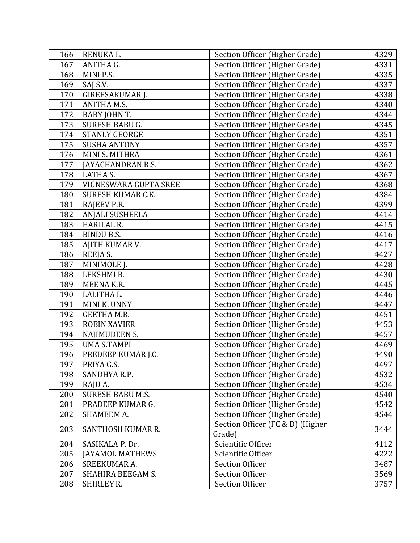| 166 | RENUKA L.               | Section Officer (Higher Grade)   | 4329 |
|-----|-------------------------|----------------------------------|------|
| 167 | ANITHA G.               | Section Officer (Higher Grade)   | 4331 |
| 168 | MINI P.S.               | Section Officer (Higher Grade)   | 4335 |
| 169 | SAJ S.V.                | Section Officer (Higher Grade)   | 4337 |
| 170 | GIREESAKUMAR J.         | Section Officer (Higher Grade)   | 4338 |
| 171 | ANITHA M.S.             | Section Officer (Higher Grade)   | 4340 |
| 172 | BABY JOHN T.            | Section Officer (Higher Grade)   | 4344 |
| 173 | SURESH BABU G.          | Section Officer (Higher Grade)   | 4345 |
| 174 | <b>STANLY GEORGE</b>    | Section Officer (Higher Grade)   | 4351 |
| 175 | <b>SUSHA ANTONY</b>     | Section Officer (Higher Grade)   | 4357 |
| 176 | MINI S. MITHRA          | Section Officer (Higher Grade)   | 4361 |
| 177 | JAYACHANDRAN R.S.       | Section Officer (Higher Grade)   | 4362 |
| 178 | <b>LATHA S.</b>         | Section Officer (Higher Grade)   | 4367 |
| 179 | VIGNESWARA GUPTA SREE   | Section Officer (Higher Grade)   | 4368 |
| 180 | SURESH KUMAR C.K.       | Section Officer (Higher Grade)   | 4384 |
| 181 | RAJEEV P.R.             | Section Officer (Higher Grade)   | 4399 |
| 182 | <b>ANJALI SUSHEELA</b>  | Section Officer (Higher Grade)   | 4414 |
| 183 | HARILAL R.              | Section Officer (Higher Grade)   | 4415 |
| 184 | <b>BINDU B.S.</b>       | Section Officer (Higher Grade)   | 4416 |
| 185 | AJITH KUMAR V.          | Section Officer (Higher Grade)   | 4417 |
| 186 | REEJA S.                | Section Officer (Higher Grade)   | 4427 |
| 187 | MINIMOLE J.             | Section Officer (Higher Grade)   | 4428 |
| 188 | LEKSHMI B.              | Section Officer (Higher Grade)   | 4430 |
| 189 | MEENA K.R.              | Section Officer (Higher Grade)   | 4445 |
| 190 | LALITHA L.              | Section Officer (Higher Grade)   | 4446 |
| 191 | MINI K. UNNY            | Section Officer (Higher Grade)   | 4447 |
| 192 | <b>GEETHA M.R.</b>      | Section Officer (Higher Grade)   | 4451 |
| 193 | <b>ROBIN XAVIER</b>     | Section Officer (Higher Grade)   | 4453 |
| 194 | NAJIMUDEEN S.           | Section Officer (Higher Grade)   | 4457 |
| 195 | <b>UMA S.TAMPI</b>      | Section Officer (Higher Grade)   | 4469 |
| 196 | PREDEEP KUMAR J.C.      | Section Officer (Higher Grade)   | 4490 |
| 197 | PRIYA G.S.              | Section Officer (Higher Grade)   | 4497 |
| 198 | SANDHYA R.P.            | Section Officer (Higher Grade)   | 4532 |
| 199 | RAJU A.                 | Section Officer (Higher Grade)   | 4534 |
| 200 | <b>SURESH BABU M.S.</b> | Section Officer (Higher Grade)   | 4540 |
| 201 | PRADEEP KUMAR G.        | Section Officer (Higher Grade)   | 4542 |
| 202 | SHAMEEM A.              | Section Officer (Higher Grade)   | 4544 |
|     |                         | Section Officer (FC & D) (Higher |      |
| 203 | SANTHOSH KUMAR R.       | Grade)                           | 3444 |
| 204 | SASIKALA P. Dr.         | Scientific Officer               | 4112 |
| 205 | <b>JAYAMOL MATHEWS</b>  | Scientific Officer               | 4222 |
| 206 | SREEKUMAR A.            | <b>Section Officer</b>           | 3487 |
| 207 | SHAHIRA BEEGAM S.       | <b>Section Officer</b>           | 3569 |
| 208 | SHIRLEY R.              | <b>Section Officer</b>           | 3757 |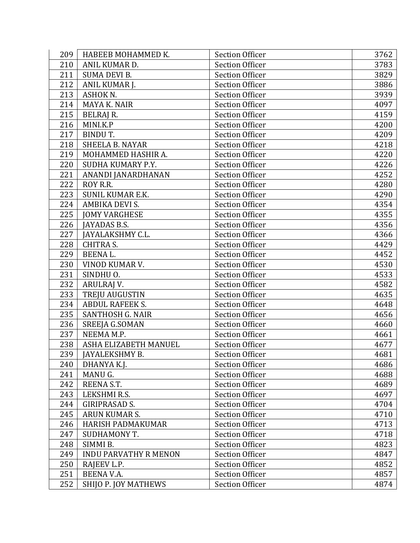| 209 | HABEEB MOHAMMED K.           | <b>Section Officer</b> | 3762 |
|-----|------------------------------|------------------------|------|
| 210 | ANIL KUMAR D.                | <b>Section Officer</b> | 3783 |
| 211 | <b>SUMA DEVI B.</b>          | <b>Section Officer</b> | 3829 |
| 212 | ANIL KUMAR J.                | <b>Section Officer</b> | 3886 |
| 213 | ASHOK N.                     | <b>Section Officer</b> | 3939 |
| 214 | MAYA K. NAIR                 | <b>Section Officer</b> | 4097 |
| 215 | BELRAJ R.                    | <b>Section Officer</b> | 4159 |
| 216 | MINI.K.P                     | <b>Section Officer</b> | 4200 |
| 217 | <b>BINDUT.</b>               | <b>Section Officer</b> | 4209 |
| 218 | <b>SHEELA B. NAYAR</b>       | <b>Section Officer</b> | 4218 |
| 219 | MOHAMMED HASHIR A.           | <b>Section Officer</b> | 4220 |
| 220 | SUDHA KUMARY P.Y.            | <b>Section Officer</b> | 4226 |
| 221 | ANANDI JANARDHANAN           | <b>Section Officer</b> | 4252 |
| 222 | ROY R.R.                     | <b>Section Officer</b> | 4280 |
| 223 | <b>SUNIL KUMAR E.K.</b>      | <b>Section Officer</b> | 4290 |
| 224 | AMBIKA DEVI S.               | <b>Section Officer</b> | 4354 |
| 225 | <b>JOMY VARGHESE</b>         | <b>Section Officer</b> | 4355 |
| 226 | JAYADAS B.S.                 | <b>Section Officer</b> | 4356 |
| 227 | JAYALAKSHMY C.L.             | <b>Section Officer</b> | 4366 |
| 228 | <b>CHITRA S.</b>             | <b>Section Officer</b> | 4429 |
| 229 | BEENAL.                      | <b>Section Officer</b> | 4452 |
| 230 | VINOD KUMAR V.               | <b>Section Officer</b> | 4530 |
| 231 | SINDHU O.                    | <b>Section Officer</b> | 4533 |
| 232 | ARULRAJ V.                   | <b>Section Officer</b> | 4582 |
| 233 | TREJU AUGUSTIN               | <b>Section Officer</b> | 4635 |
| 234 | <b>ABDUL RAFEEK S.</b>       | <b>Section Officer</b> | 4648 |
| 235 | SANTHOSH G. NAIR             | <b>Section Officer</b> | 4656 |
| 236 | SREEJA G.SOMAN               | <b>Section Officer</b> | 4660 |
| 237 | NEEMA M.P.                   | <b>Section Officer</b> | 4661 |
| 238 | ASHA ELIZABETH MANUEL        | <b>Section Officer</b> | 4677 |
| 239 | JAYALEKSHMY B.               | <b>Section Officer</b> | 4681 |
| 240 | DHANYA K.J.                  | <b>Section Officer</b> | 4686 |
| 241 | MANU G.                      | <b>Section Officer</b> | 4688 |
| 242 | REENA S.T.                   | <b>Section Officer</b> | 4689 |
| 243 | LEKSHMI R.S.                 | <b>Section Officer</b> | 4697 |
| 244 | <b>GIRIPRASAD S.</b>         | <b>Section Officer</b> | 4704 |
| 245 | ARUN KUMAR S.                | <b>Section Officer</b> | 4710 |
| 246 | <b>HARISH PADMAKUMAR</b>     | <b>Section Officer</b> | 4713 |
| 247 | SUDHAMONY T.                 | <b>Section Officer</b> | 4718 |
| 248 | SIMMI B.                     | <b>Section Officer</b> | 4823 |
| 249 | <b>INDU PARVATHY R MENON</b> | <b>Section Officer</b> | 4847 |
| 250 | RAJEEV L.P.                  | <b>Section Officer</b> | 4852 |
| 251 | BEENA V.A.                   | <b>Section Officer</b> | 4857 |
| 252 | SHIJO P. JOY MATHEWS         | <b>Section Officer</b> | 4874 |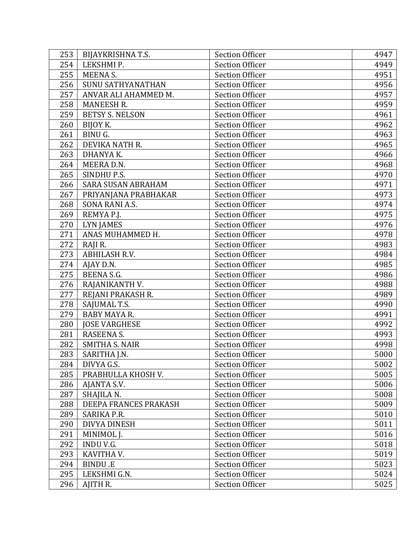| 253 | BIJAYKRISHNA T.S.         | <b>Section Officer</b> | 4947 |
|-----|---------------------------|------------------------|------|
| 254 | LEKSHMI P.                | <b>Section Officer</b> | 4949 |
| 255 | <b>MEENA S.</b>           | <b>Section Officer</b> | 4951 |
| 256 | <b>SUNU SATHYANATHAN</b>  | <b>Section Officer</b> | 4956 |
| 257 | ANVAR ALI AHAMMED M.      | <b>Section Officer</b> | 4957 |
| 258 | <b>MANEESH R.</b>         | <b>Section Officer</b> | 4959 |
| 259 | <b>BETSY S. NELSON</b>    | <b>Section Officer</b> | 4961 |
| 260 | BIJOY K.                  | <b>Section Officer</b> | 4962 |
| 261 | BINU G.                   | <b>Section Officer</b> | 4963 |
| 262 | DEVIKA NATH R.            | <b>Section Officer</b> | 4965 |
| 263 | DHANYA K.                 | <b>Section Officer</b> | 4966 |
| 264 | MEERA D.N.                | <b>Section Officer</b> | 4968 |
| 265 | SINDHU P.S.               | <b>Section Officer</b> | 4970 |
| 266 | <b>SARA SUSAN ABRAHAM</b> | <b>Section Officer</b> | 4971 |
| 267 | PRIYANJANA PRABHAKAR      | <b>Section Officer</b> | 4973 |
| 268 | SONA RANI A.S.            | <b>Section Officer</b> | 4974 |
| 269 | REMYA P.J.                | <b>Section Officer</b> | 4975 |
| 270 | LYN JAMES                 | <b>Section Officer</b> | 4976 |
| 271 | ANAS MUHAMMED H.          | <b>Section Officer</b> | 4978 |
| 272 | RAJI R.                   | <b>Section Officer</b> | 4983 |
| 273 | ABHILASH R.V.             | <b>Section Officer</b> | 4984 |
| 274 | AJAY D.N.                 | <b>Section Officer</b> | 4985 |
| 275 | BEENA S.G.                | <b>Section Officer</b> | 4986 |
| 276 | RAJANIKANTH V.            | <b>Section Officer</b> | 4988 |
| 277 | REJANI PRAKASH R.         | <b>Section Officer</b> | 4989 |
| 278 | SAJUMAL T.S.              | <b>Section Officer</b> | 4990 |
| 279 | <b>BABY MAYA R.</b>       | <b>Section Officer</b> | 4991 |
| 280 | <b>JOSE VARGHESE</b>      | <b>Section Officer</b> | 4992 |
| 281 | RASEENA S.                | <b>Section Officer</b> | 4993 |
| 282 | <b>SMITHA S. NAIR</b>     | <b>Section Officer</b> | 4998 |
| 283 | SARITHA J.N.              | <b>Section Officer</b> | 5000 |
| 284 | DIVYA G.S.                | <b>Section Officer</b> | 5002 |
| 285 | PRABHULLA KHOSH V.        | <b>Section Officer</b> | 5005 |
| 286 | AJANTA S.V.               | <b>Section Officer</b> | 5006 |
| 287 | SHAJILA N.                | <b>Section Officer</b> | 5008 |
| 288 | DEEPA FRANCES PRAKASH     | <b>Section Officer</b> | 5009 |
| 289 | SARIKA P.R.               | <b>Section Officer</b> | 5010 |
| 290 | <b>DIVYA DINESH</b>       | <b>Section Officer</b> | 5011 |
| 291 | MINIMOL J.                | <b>Section Officer</b> | 5016 |
| 292 | <b>INDUV.G.</b>           | <b>Section Officer</b> | 5018 |
| 293 | KAVITHA V.                | <b>Section Officer</b> | 5019 |
| 294 | <b>BINDU.E</b>            | <b>Section Officer</b> | 5023 |
| 295 | LEKSHMI G.N.              | <b>Section Officer</b> | 5024 |
| 296 | AJITH R.                  | <b>Section Officer</b> | 5025 |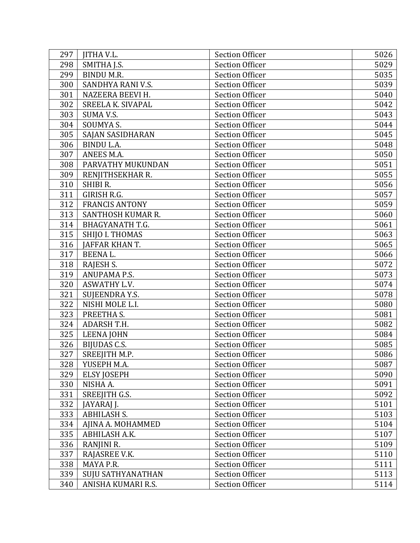| 297 | <b>JITHA V.L.</b>        | <b>Section Officer</b> | 5026 |
|-----|--------------------------|------------------------|------|
| 298 | SMITHA J.S.              | <b>Section Officer</b> | 5029 |
| 299 | <b>BINDU M.R.</b>        | <b>Section Officer</b> | 5035 |
| 300 | SANDHYA RANI V.S.        | <b>Section Officer</b> | 5039 |
| 301 | NAZEERA BEEVI H.         | <b>Section Officer</b> | 5040 |
| 302 | SREELA K. SIVAPAL        | <b>Section Officer</b> | 5042 |
| 303 | SUMA V.S.                | <b>Section Officer</b> | 5043 |
| 304 | SOUMYA S.                | <b>Section Officer</b> | 5044 |
| 305 | SAJAN SASIDHARAN         | <b>Section Officer</b> | 5045 |
| 306 | <b>BINDU L.A.</b>        | <b>Section Officer</b> | 5048 |
| 307 | ANEES M.A.               | <b>Section Officer</b> | 5050 |
| 308 | PARVATHY MUKUNDAN        | <b>Section Officer</b> | 5051 |
| 309 | RENJITHSEKHAR R.         | <b>Section Officer</b> | 5055 |
| 310 | SHIBI R.                 | <b>Section Officer</b> | 5056 |
| 311 | GIRISH R.G.              | <b>Section Officer</b> | 5057 |
| 312 | <b>FRANCIS ANTONY</b>    | <b>Section Officer</b> | 5059 |
| 313 | SANTHOSH KUMAR R.        | <b>Section Officer</b> | 5060 |
| 314 | <b>BHAGYANATH T.G.</b>   | <b>Section Officer</b> | 5061 |
| 315 | SHIJO I. THOMAS          | <b>Section Officer</b> | 5063 |
| 316 | JAFFAR KHAN T.           | <b>Section Officer</b> | 5065 |
| 317 | <b>BEENAL.</b>           | <b>Section Officer</b> | 5066 |
| 318 | RAJESH S.                | <b>Section Officer</b> | 5072 |
| 319 | ANUPAMA P.S.             | <b>Section Officer</b> | 5073 |
| 320 | ASWATHY L.V.             | <b>Section Officer</b> | 5074 |
| 321 | SUJEENDRA Y.S.           | <b>Section Officer</b> | 5078 |
| 322 | NISHI MOLE L.I.          | <b>Section Officer</b> | 5080 |
| 323 | PREETHA S.               | <b>Section Officer</b> | 5081 |
| 324 | ADARSH T.H.              | <b>Section Officer</b> | 5082 |
| 325 | <b>LEENA JOHN</b>        | <b>Section Officer</b> | 5084 |
| 326 | BIJUDAS C.S.             | <b>Section Officer</b> | 5085 |
| 327 | SREEJITH M.P.            | <b>Section Officer</b> | 5086 |
| 328 | YUSEPH M.A.              | <b>Section Officer</b> | 5087 |
| 329 | <b>ELSY JOSEPH</b>       | <b>Section Officer</b> | 5090 |
| 330 | NISHA A.                 | <b>Section Officer</b> | 5091 |
| 331 | SREEJITH G.S.            | <b>Section Officer</b> | 5092 |
| 332 | JAYARAJ J.               | <b>Section Officer</b> | 5101 |
| 333 | <b>ABHILASH S.</b>       | <b>Section Officer</b> | 5103 |
| 334 | AJINA A. MOHAMMED        | <b>Section Officer</b> | 5104 |
| 335 | ABHILASH A.K.            | <b>Section Officer</b> | 5107 |
| 336 | RANJINI R.               | <b>Section Officer</b> | 5109 |
| 337 | RAJASREE V.K.            | <b>Section Officer</b> | 5110 |
| 338 | MAYA P.R.                | <b>Section Officer</b> | 5111 |
| 339 | <b>SUJU SATHYANATHAN</b> | <b>Section Officer</b> | 5113 |
| 340 | ANISHA KUMARI R.S.       | <b>Section Officer</b> | 5114 |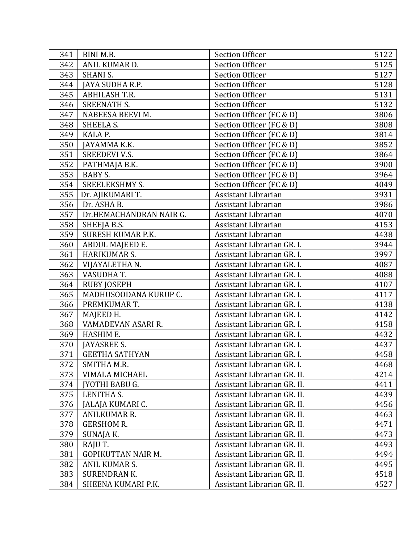| 341 | BINI M.B.                 | <b>Section Officer</b>      | 5122 |
|-----|---------------------------|-----------------------------|------|
| 342 | ANIL KUMAR D.             | <b>Section Officer</b>      | 5125 |
| 343 | <b>SHANI S.</b>           | <b>Section Officer</b>      | 5127 |
| 344 | JAYA SUDHA R.P.           | <b>Section Officer</b>      | 5128 |
| 345 | <b>ABHILASH T.R.</b>      | <b>Section Officer</b>      | 5131 |
| 346 | SREENATH S.               | <b>Section Officer</b>      | 5132 |
| 347 | NABEESA BEEVI M.          | Section Officer (FC & D)    | 3806 |
| 348 | SHEELA S.                 | Section Officer (FC & D)    | 3808 |
| 349 | KALA P.                   | Section Officer (FC & D)    | 3814 |
| 350 | JAYAMMA K.K.              | Section Officer (FC & D)    | 3852 |
| 351 | <b>SREEDEVI V.S.</b>      | Section Officer (FC & D)    | 3864 |
| 352 | PATHMAJA B.K.             | Section Officer (FC & D)    | 3900 |
| 353 | <b>BABY S.</b>            | Section Officer (FC & D)    | 3964 |
| 354 | <b>SREELEKSHMY S.</b>     | Section Officer (FC & D)    | 4049 |
| 355 | Dr. AJIKUMARI T.          | Assistant Librarian         | 3931 |
| 356 | Dr. ASHA B.               | Assistant Librarian         | 3986 |
| 357 | Dr.HEMACHANDRAN NAIR G.   | Assistant Librarian         | 4070 |
| 358 | SHEEJA B.S.               | Assistant Librarian         | 4153 |
| 359 | <b>SURESH KUMAR P.K.</b>  | Assistant Librarian         | 4438 |
| 360 | ABDUL MAJEED E.           | Assistant Librarian GR. I.  | 3944 |
| 361 | HARIKUMAR S.              | Assistant Librarian GR. I.  | 3997 |
| 362 | VIJAYALETHA N.            | Assistant Librarian GR. I.  | 4087 |
| 363 | VASUDHA T.                | Assistant Librarian GR. I.  | 4088 |
| 364 | <b>RUBY JOSEPH</b>        | Assistant Librarian GR. I.  | 4107 |
| 365 | MADHUSOODANA KURUP C.     | Assistant Librarian GR. I.  | 4117 |
| 366 | PREMKUMAR T.              | Assistant Librarian GR. I.  | 4138 |
| 367 | MAJEED H.                 | Assistant Librarian GR. I.  | 4142 |
| 368 | VAMADEVAN ASARI R.        | Assistant Librarian GR. I.  | 4158 |
| 369 | HASHIM E.                 | Assistant Librarian GR. I.  | 4432 |
| 370 | <b>JAYASREE S.</b>        | Assistant Librarian GR. I.  | 4437 |
| 371 | <b>GEETHA SATHYAN</b>     | Assistant Librarian GR. I.  | 4458 |
| 372 | SMITHA M.R.               | Assistant Librarian GR. I.  | 4468 |
| 373 | <b>VIMALA MICHAEL</b>     | Assistant Librarian GR. II. | 4214 |
| 374 | IYOTHI BABU G.            | Assistant Librarian GR. II. | 4411 |
| 375 | LENITHA S.                | Assistant Librarian GR. II. | 4439 |
| 376 | <b>JALAJA KUMARI C.</b>   | Assistant Librarian GR. II. | 4456 |
| 377 | ANILKUMAR R.              | Assistant Librarian GR. II. | 4463 |
| 378 | <b>GERSHOM R.</b>         | Assistant Librarian GR. II. | 4471 |
| 379 | SUNAJA K.                 | Assistant Librarian GR. II. | 4473 |
| 380 | RAJU T.                   | Assistant Librarian GR. II. | 4493 |
| 381 | <b>GOPIKUTTAN NAIR M.</b> | Assistant Librarian GR. II. | 4494 |
| 382 | ANIL KUMAR S.             | Assistant Librarian GR. II. | 4495 |
| 383 | SURENDRAN K.              | Assistant Librarian GR. II. | 4518 |
| 384 | SHEENA KUMARI P.K.        | Assistant Librarian GR. II. | 4527 |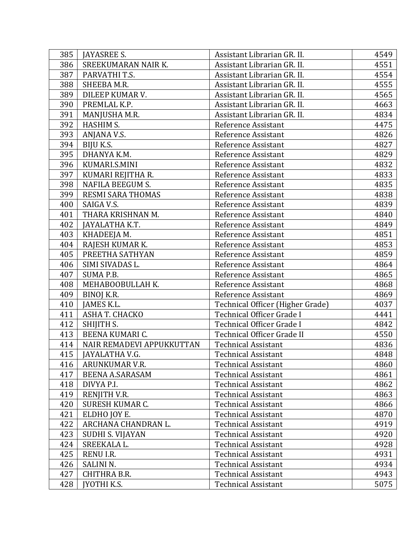| 385 | <b>JAYASREE S.</b>        | Assistant Librarian GR. II.      | 4549 |
|-----|---------------------------|----------------------------------|------|
| 386 | SREEKUMARAN NAIR K.       | Assistant Librarian GR. II.      | 4551 |
| 387 | PARVATHI T.S.             | Assistant Librarian GR. II.      | 4554 |
| 388 | SHEEBA M.R.               | Assistant Librarian GR. II.      | 4555 |
| 389 | DILEEP KUMAR V.           | Assistant Librarian GR. II.      | 4565 |
| 390 | PREMLAL K.P.              | Assistant Librarian GR. II.      | 4663 |
| 391 | MANJUSHA M.R.             | Assistant Librarian GR. II.      | 4834 |
| 392 | HASHIM S.                 | Reference Assistant              | 4475 |
| 393 | ANJANA V.S.               | Reference Assistant              | 4826 |
| 394 | BIJU K.S.                 | Reference Assistant              | 4827 |
| 395 | DHANYA K.M.               | Reference Assistant              | 4829 |
| 396 | KUMARI.S.MINI             | Reference Assistant              | 4832 |
| 397 | KUMARI REJITHA R.         | Reference Assistant              | 4833 |
| 398 | <b>NAFILA BEEGUM S.</b>   | Reference Assistant              | 4835 |
| 399 | RESMI SARA THOMAS         | Reference Assistant              | 4838 |
| 400 | SAIGA V.S.                | Reference Assistant              | 4839 |
| 401 | THARA KRISHNAN M.         | Reference Assistant              | 4840 |
| 402 | JAYALATHA K.T.            | Reference Assistant              | 4849 |
| 403 | KHADEEJA M.               | Reference Assistant              | 4851 |
| 404 | RAJESH KUMAR K.           | Reference Assistant              | 4853 |
| 405 | PREETHA SATHYAN           | Reference Assistant              | 4859 |
| 406 | SIMI SIVADAS L.           | Reference Assistant              | 4864 |
| 407 | SUMA P.B.                 | Reference Assistant              | 4865 |
| 408 | MEHABOOBULLAH K.          | Reference Assistant              | 4868 |
| 409 | BINOJ K.R.                | Reference Assistant              | 4869 |
| 410 | JAMES K.L.                | Technical Officer (Higher Grade) | 4037 |
| 411 | ASHA T. CHACKO            | Technical Officer Grade I        | 4441 |
| 412 | SHIJITH S.                | Technical Officer Grade I        | 4842 |
| 413 | BEENA KUMARI C.           | Technical Officer Grade II       | 4550 |
| 414 | NAIR REMADEVI APPUKKUTTAN | <b>Technical Assistant</b>       | 4836 |
| 415 | JAYALATHA V.G.            | <b>Technical Assistant</b>       | 4848 |
| 416 | ARUNKUMAR V.R.            | <b>Technical Assistant</b>       | 4860 |
| 417 | <b>BEENA A.SARASAM</b>    | <b>Technical Assistant</b>       | 4861 |
| 418 | DIVYA P.I.                | <b>Technical Assistant</b>       | 4862 |
| 419 | RENJITH V.R.              | <b>Technical Assistant</b>       | 4863 |
| 420 | SURESH KUMAR C.           | <b>Technical Assistant</b>       | 4866 |
| 421 | ELDHO JOY E.              | <b>Technical Assistant</b>       | 4870 |
| 422 | ARCHANA CHANDRAN L.       | <b>Technical Assistant</b>       | 4919 |
| 423 | <b>SUDHI S. VIJAYAN</b>   | <b>Technical Assistant</b>       | 4920 |
| 424 | SREEKALA L.               | <b>Technical Assistant</b>       | 4928 |
| 425 | RENU I.R.                 | <b>Technical Assistant</b>       | 4931 |
| 426 | SALINI <sub>N.</sub>      | <b>Technical Assistant</b>       | 4934 |
| 427 | CHITHRA B.R.              | <b>Technical Assistant</b>       | 4943 |
| 428 | <b>JYOTHI K.S.</b>        | <b>Technical Assistant</b>       | 5075 |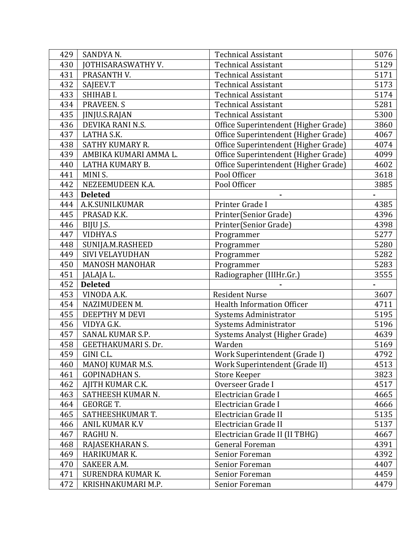| 429 | SANDYA N.                  | <b>Technical Assistant</b>           | 5076 |
|-----|----------------------------|--------------------------------------|------|
| 430 | <b>JOTHISARASWATHY V.</b>  | <b>Technical Assistant</b>           | 5129 |
| 431 | PRASANTH V.                | <b>Technical Assistant</b>           | 5171 |
| 432 | SAJEEV.T                   | <b>Technical Assistant</b>           | 5173 |
| 433 | SHIHAB I.                  | <b>Technical Assistant</b>           | 5174 |
| 434 | PRAVEEN. S                 | <b>Technical Assistant</b>           | 5281 |
| 435 | <b>JINJU.S.RAJAN</b>       | <b>Technical Assistant</b>           | 5300 |
| 436 | DEVIKA RANI N.S.           | Office Superintendent (Higher Grade) | 3860 |
| 437 | LATHA S.K.                 | Office Superintendent (Higher Grade) | 4067 |
| 438 | SATHY KUMARY R.            | Office Superintendent (Higher Grade) | 4074 |
| 439 | AMBIKA KUMARI AMMA L.      | Office Superintendent (Higher Grade) | 4099 |
| 440 | LATHA KUMARY B.            | Office Superintendent (Higher Grade) | 4602 |
| 441 | MINI S.                    | Pool Officer                         | 3618 |
| 442 | NEZEEMUDEEN K.A.           | Pool Officer                         | 3885 |
| 443 | <b>Deleted</b>             |                                      |      |
| 444 | A.K.SUNILKUMAR             | Printer Grade I                      | 4385 |
| 445 | PRASAD K.K.                | Printer(Senior Grade)                | 4396 |
| 446 | BIJU J.S.                  | Printer(Senior Grade)                | 4398 |
| 447 | <b>VIDHYA.S</b>            | Programmer                           | 5277 |
| 448 | SUNIJA.M.RASHEED           | Programmer                           | 5280 |
| 449 | SIVI VELAYUDHAN            | Programmer                           | 5282 |
| 450 | <b>MANOSH MANOHAR</b>      | Programmer                           | 5283 |
| 451 | JALAJA L.                  | Radiographer (IIIHr.Gr.)             | 3555 |
| 452 | <b>Deleted</b>             |                                      |      |
| 453 | VINODA A.K.                | <b>Resident Nurse</b>                | 3607 |
| 454 | NAZIMUDEEN M.              | <b>Health Information Officer</b>    | 4711 |
| 455 | DEEPTHY M DEVI             | Systems Administrator                | 5195 |
| 456 | VIDYA G.K.                 | Systems Administrator                | 5196 |
| 457 | SANAL KUMAR S.P.           | Systems Analyst (Higher Grade)       | 4639 |
| 458 | <b>GEETHAKUMARI S. Dr.</b> | Warden                               | 5169 |
| 459 | GINI C.L.                  | Work Superintendent (Grade I)        | 4792 |
| 460 | MANOJ KUMAR M.S.           | Work Superintendent (Grade II)       | 4513 |
| 461 | <b>GOPINADHAN S.</b>       | <b>Store Keeper</b>                  | 3823 |
| 462 | AJITH KUMAR C.K.           | Overseer Grade I                     | 4517 |
| 463 | SATHEESH KUMAR N.          | Electrician Grade I                  | 4665 |
| 464 | <b>GEORGE T.</b>           | Electrician Grade I                  | 4666 |
| 465 | SATHEESHKUMAR T.           | Electrician Grade II                 | 5135 |
| 466 | ANIL KUMAR K.V             | Electrician Grade II                 | 5137 |
| 467 | RAGHU N.                   | Electrician Grade II (II TBHG)       | 4667 |
| 468 | RAJASEKHARAN S.            | <b>General Foreman</b>               | 4391 |
| 469 | HARIKUMAR K.               | Senior Foreman                       | 4392 |
| 470 | SAKEER A.M.                | Senior Foreman                       | 4407 |
| 471 | SURENDRA KUMAR K.          | Senior Foreman                       | 4459 |
| 472 | KRISHNAKUMARI M.P.         | Senior Foreman                       | 4479 |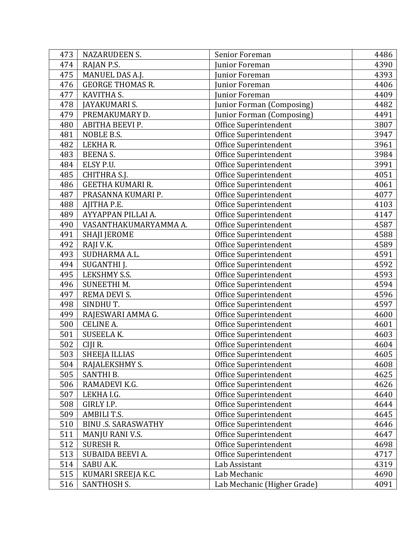| 473 | <b>NAZARUDEEN S.</b>       | Senior Foreman              | 4486 |
|-----|----------------------------|-----------------------------|------|
| 474 | RAJAN P.S.                 | Junior Foreman              | 4390 |
| 475 | MANUEL DAS A.J.            | Junior Foreman              | 4393 |
| 476 | <b>GEORGE THOMAS R.</b>    | Junior Foreman              | 4406 |
| 477 | KAVITHA S.                 | Junior Foreman              | 4409 |
| 478 | JAYAKUMARI S.              | Junior Forman (Composing)   | 4482 |
| 479 | PREMAKUMARY D.             | Junior Forman (Composing)   | 4491 |
| 480 | ABITHA BEEVI P.            | Office Superintendent       | 3807 |
| 481 | NOBLE B.S.                 | Office Superintendent       | 3947 |
| 482 | LEKHAR.                    | Office Superintendent       | 3961 |
| 483 | BEENA S.                   | Office Superintendent       | 3984 |
| 484 | ELSY P.U.                  | Office Superintendent       | 3991 |
| 485 | CHITHRA S.J.               | Office Superintendent       | 4051 |
| 486 | <b>GEETHA KUMARI R.</b>    | Office Superintendent       | 4061 |
| 487 | PRASANNA KUMARI P.         | Office Superintendent       | 4077 |
| 488 | AJITHA P.E.                | Office Superintendent       | 4103 |
| 489 | AYYAPPAN PILLAI A.         | Office Superintendent       | 4147 |
| 490 | VASANTHAKUMARYAMMA A.      | Office Superintendent       | 4587 |
| 491 | <b>SHAJI JEROME</b>        | Office Superintendent       | 4588 |
| 492 | RAJI V.K.                  | Office Superintendent       | 4589 |
| 493 | SUDHARMA A.L.              | Office Superintendent       | 4591 |
| 494 | SUGANTHI J.                | Office Superintendent       | 4592 |
| 495 | LEKSHMY S.S.               | Office Superintendent       | 4593 |
| 496 | <b>SUNEETHIM.</b>          | Office Superintendent       | 4594 |
| 497 | REMA DEVI S.               | Office Superintendent       | 4596 |
| 498 | SINDHUT.                   | Office Superintendent       | 4597 |
| 499 | RAJESWARI AMMA G.          | Office Superintendent       | 4600 |
| 500 | <b>CELINE A.</b>           | Office Superintendent       | 4601 |
| 501 | SUSEELA K.                 | Office Superintendent       | 4603 |
| 502 | CIJI R.                    | Office Superintendent       | 4604 |
| 503 | <b>SHEEJA ILLIAS</b>       | Office Superintendent       | 4605 |
| 504 | RAJALEKSHMY S.             | Office Superintendent       | 4608 |
| 505 | SANTHI B.                  | Office Superintendent       | 4625 |
| 506 | RAMADEVI K.G.              | Office Superintendent       | 4626 |
| 507 | LEKHA I.G.                 | Office Superintendent       | 4640 |
| 508 | GIRLY I.P.                 | Office Superintendent       | 4644 |
| 509 | AMBILI T.S.                | Office Superintendent       | 4645 |
| 510 | <b>BINU .S. SARASWATHY</b> | Office Superintendent       | 4646 |
| 511 | MANJU RANI V.S.            | Office Superintendent       | 4647 |
| 512 | <b>SURESH R.</b>           | Office Superintendent       | 4698 |
| 513 | SUBAIDA BEEVI A.           | Office Superintendent       | 4717 |
| 514 | SABU A.K.                  | Lab Assistant               | 4319 |
| 515 | KUMARI SREEJA K.C.         | Lab Mechanic                | 4690 |
| 516 | <b>SANTHOSH S.</b>         | Lab Mechanic (Higher Grade) | 4091 |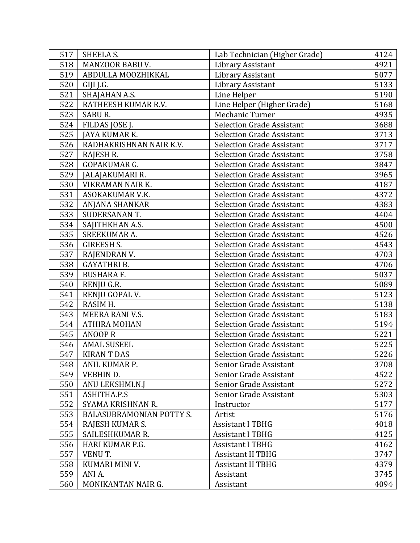| 517 | SHEELA S.                | Lab Technician (Higher Grade)    | 4124 |
|-----|--------------------------|----------------------------------|------|
| 518 | MANZOOR BABU V.          | Library Assistant                | 4921 |
| 519 | ABDULLA MOOZHIKKAL       | Library Assistant                | 5077 |
| 520 | GIJI J.G.                | Library Assistant                | 5133 |
| 521 | SHAJAHAN A.S.            | Line Helper                      | 5190 |
| 522 | RATHEESH KUMAR R.V.      | Line Helper (Higher Grade)       | 5168 |
| 523 | SABUR.                   | Mechanic Turner                  | 4935 |
| 524 | FILDAS JOSE J.           | <b>Selection Grade Assistant</b> | 3688 |
| 525 | JAYA KUMAR K.            | <b>Selection Grade Assistant</b> | 3713 |
| 526 | RADHAKRISHNAN NAIR K.V.  | <b>Selection Grade Assistant</b> | 3717 |
| 527 | RAJESH R.                | <b>Selection Grade Assistant</b> | 3758 |
| 528 | GOPAKUMAR G.             | <b>Selection Grade Assistant</b> | 3847 |
| 529 | JALAJAKUMARI R.          | <b>Selection Grade Assistant</b> | 3965 |
| 530 | VIKRAMAN NAIR K.         | <b>Selection Grade Assistant</b> | 4187 |
| 531 | ASOKAKUMAR V.K.          | <b>Selection Grade Assistant</b> | 4372 |
| 532 | <b>ANJANA SHANKAR</b>    | <b>Selection Grade Assistant</b> | 4383 |
| 533 | SUDERSANAN T.            | <b>Selection Grade Assistant</b> | 4404 |
| 534 | SAJITHKHAN A.S.          | <b>Selection Grade Assistant</b> | 4500 |
| 535 | <b>SREEKUMAR A.</b>      | <b>Selection Grade Assistant</b> | 4526 |
| 536 | <b>GIREESH S.</b>        | <b>Selection Grade Assistant</b> | 4543 |
| 537 | RAJENDRAN V.             | <b>Selection Grade Assistant</b> | 4703 |
| 538 | <b>GAYATHRI B.</b>       | <b>Selection Grade Assistant</b> | 4706 |
| 539 | <b>BUSHARA F.</b>        | <b>Selection Grade Assistant</b> | 5037 |
| 540 | RENJU G.R.               | <b>Selection Grade Assistant</b> | 5089 |
| 541 | RENJU GOPAL V.           | <b>Selection Grade Assistant</b> | 5123 |
| 542 | RASIM H.                 | <b>Selection Grade Assistant</b> | 5138 |
| 543 | MEERA RANI V.S.          | <b>Selection Grade Assistant</b> | 5183 |
| 544 | <b>ATHIRA MOHAN</b>      | <b>Selection Grade Assistant</b> | 5194 |
| 545 | <b>ANOOPR</b>            | <b>Selection Grade Assistant</b> | 5221 |
| 546 | <b>AMAL SUSEEL</b>       | <b>Selection Grade Assistant</b> | 5225 |
| 547 | <b>KIRANT DAS</b>        | <b>Selection Grade Assistant</b> | 5226 |
| 548 | ANIL KUMAR P.            | Senior Grade Assistant           | 3708 |
| 549 | VEBHIN D.                | Senior Grade Assistant           | 4522 |
| 550 | ANU LEKSHMI.N.J          | Senior Grade Assistant           | 5272 |
| 551 | ASHITHA.P.S              | Senior Grade Assistant           | 5303 |
| 552 | SYAMA KRISHNAN R.        | Instructor                       | 5177 |
| 553 | BALASUBRAMONIAN POTTY S. | Artist                           | 5176 |
| 554 | RAJESH KUMAR S.          | <b>Assistant I TBHG</b>          | 4018 |
| 555 | SAILESHKUMAR R.          | <b>Assistant I TBHG</b>          | 4125 |
| 556 | HARI KUMAR P.G.          | <b>Assistant I TBHG</b>          | 4162 |
| 557 | VENU T.                  | <b>Assistant II TBHG</b>         | 3747 |
| 558 | KUMARI MINI V.           | <b>Assistant II TBHG</b>         | 4379 |
| 559 | ANI A.                   | Assistant                        | 3745 |
| 560 | MONIKANTAN NAIR G.       | Assistant                        | 4094 |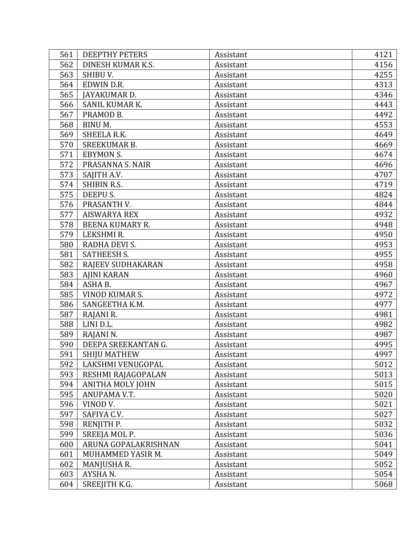| 561 | <b>DEEPTHY PETERS</b>  | Assistant | 4121 |
|-----|------------------------|-----------|------|
| 562 | DINESH KUMAR K.S.      | Assistant | 4156 |
| 563 | SHIBU V.               | Assistant | 4255 |
| 564 | EDWIN D.R.             | Assistant | 4313 |
| 565 | JAYAKUMAR D.           | Assistant | 4346 |
| 566 | SANIL KUMAR K.         | Assistant | 4443 |
| 567 | PRAMOD B.              | Assistant | 4492 |
| 568 | BINU M.                | Assistant | 4553 |
| 569 | SHEELA R.K.            | Assistant | 4649 |
| 570 | <b>SREEKUMAR B.</b>    | Assistant | 4669 |
| 571 | <b>EBYMON S.</b>       | Assistant | 4674 |
| 572 | PRASANNA S. NAIR       | Assistant | 4696 |
| 573 | SAJITH A.V.            | Assistant | 4707 |
| 574 | <b>SHIBIN R.S.</b>     | Assistant | 4719 |
| 575 | DEEPU S.               | Assistant | 4824 |
| 576 | PRASANTH V.            | Assistant | 4844 |
| 577 | <b>AISWARYA REX</b>    | Assistant | 4932 |
| 578 | <b>BEENA KUMARY R.</b> | Assistant | 4948 |
| 579 | LEKSHMI R.             | Assistant | 4950 |
| 580 | RADHA DEVI S.          | Assistant | 4953 |
| 581 | <b>SATHEESH S.</b>     | Assistant | 4955 |
| 582 | RAJEEV SUDHAKARAN      | Assistant | 4958 |
| 583 | <b>AJINI KARAN</b>     | Assistant | 4960 |
| 584 | ASHA B.                | Assistant | 4967 |
| 585 | VINOD KUMAR S.         | Assistant | 4972 |
| 586 | SANGEETHA K.M.         | Assistant | 4977 |
| 587 | RAJANI R.              | Assistant | 4981 |
| 588 | LINI D.L.              | Assistant | 4982 |
| 589 | RAJANI N.              | Assistant | 4987 |
| 590 | DEEPA SREEKANTAN G.    | Assistant | 4995 |
| 591 | <b>SHIJU MATHEW</b>    | Assistant | 4997 |
| 592 | LAKSHMI VENUGOPAL      | Assistant | 5012 |
| 593 | RESHMI RAJAGOPALAN     | Assistant | 5013 |
| 594 | ANITHA MOLY JOHN       | Assistant | 5015 |
| 595 | ANUPAMA V.T.           | Assistant | 5020 |
| 596 | VINOD V.               | Assistant | 5021 |
| 597 | SAFIYA C.V.            | Assistant | 5027 |
| 598 | RENJITH P.             | Assistant | 5032 |
| 599 | SREEJA MOL P.          | Assistant | 5036 |
| 600 | ARUNA GOPALAKRISHNAN   | Assistant | 5041 |
| 601 | MUHAMMED YASIR M.      | Assistant | 5049 |
| 602 | MANJUSHA R.            | Assistant | 5052 |
| 603 | AYSHAN.                | Assistant | 5054 |
| 604 | SREEJITH K.G.          | Assistant | 5068 |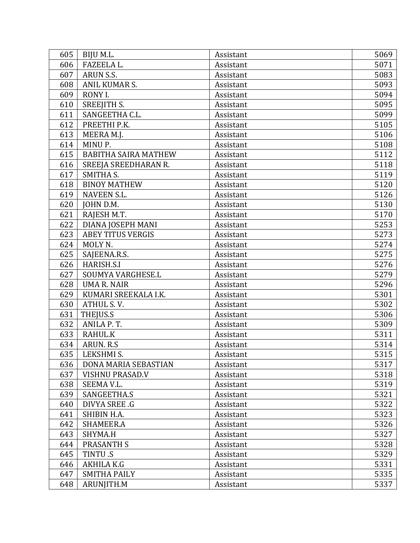| 605 | BIJU M.L.                   | Assistant | 5069 |
|-----|-----------------------------|-----------|------|
| 606 | FAZEELA L.                  | Assistant | 5071 |
| 607 | ARUN S.S.                   | Assistant | 5083 |
| 608 | ANIL KUMAR S.               | Assistant | 5093 |
| 609 | RONY I.                     | Assistant | 5094 |
| 610 | SREEJITH S.                 | Assistant | 5095 |
| 611 | SANGEETHA C.L.              | Assistant | 5099 |
| 612 | PREETHI P.K.                | Assistant | 5105 |
| 613 | MEERA M.J.                  | Assistant | 5106 |
| 614 | MINU P.                     | Assistant | 5108 |
| 615 | <b>BABITHA SAIRA MATHEW</b> | Assistant | 5112 |
| 616 | SREEJA SREEDHARAN R.        | Assistant | 5118 |
| 617 | <b>SMITHA S.</b>            | Assistant | 5119 |
| 618 | <b>BINOY MATHEW</b>         | Assistant | 5120 |
| 619 | <b>NAVEEN S.L.</b>          | Assistant | 5126 |
| 620 | JOHN D.M.                   | Assistant | 5130 |
| 621 | RAJESH M.T.                 | Assistant | 5170 |
| 622 | DIANA JOSEPH MANI           | Assistant | 5253 |
| 623 | <b>ABEY TITUS VERGIS</b>    | Assistant | 5273 |
| 624 | MOLY N.                     | Assistant | 5274 |
| 625 | SAJEENA.R.S.                | Assistant | 5275 |
| 626 | HARISH.S.I                  | Assistant | 5276 |
| 627 | SOUMYA VARGHESE.L           | Assistant | 5279 |
| 628 | <b>UMA R. NAIR</b>          | Assistant | 5296 |
| 629 | KUMARI SREEKALA I.K.        | Assistant | 5301 |
| 630 | ATHUL S.V.                  | Assistant | 5302 |
| 631 | THEJUS.S                    | Assistant | 5306 |
| 632 | ANILA P.T.                  | Assistant | 5309 |
| 633 | RAHUL.K                     | Assistant | 5311 |
| 634 | ARUN. R.S.                  | Assistant | 5314 |
| 635 | LEKSHMI S.                  | Assistant | 5315 |
| 636 | DONA MARIA SEBASTIAN        | Assistant | 5317 |
| 637 | VISHNU PRASAD.V             | Assistant | 5318 |
| 638 | SEEMA V.L.                  | Assistant | 5319 |
| 639 | SANGEETHA.S                 | Assistant | 5321 |
| 640 | DIVYA SREE .G               | Assistant | 5322 |
| 641 | SHIBIN H.A.                 | Assistant | 5323 |
| 642 | SHAMEER.A                   | Assistant | 5326 |
| 643 | SHYMA.H                     | Assistant | 5327 |
| 644 | <b>PRASANTH S</b>           | Assistant | 5328 |
| 645 | TINTU.S                     | Assistant | 5329 |
| 646 | AKHILA K.G                  | Assistant | 5331 |
| 647 | <b>SMITHA PAILY</b>         | Assistant | 5335 |
| 648 | ARUNJITH.M                  | Assistant | 5337 |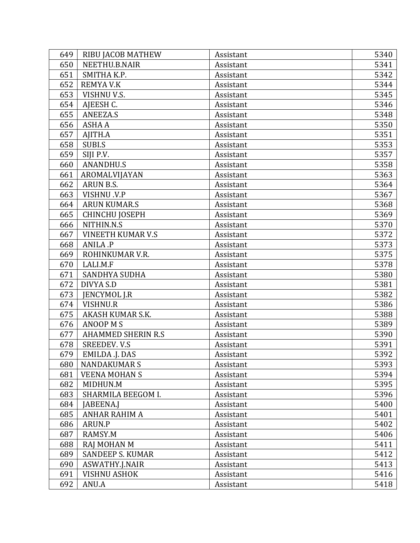| 649 | <b>RIBU JACOB MATHEW</b>  | Assistant | 5340 |
|-----|---------------------------|-----------|------|
| 650 | NEETHU.B.NAIR             | Assistant | 5341 |
| 651 | SMITHA K.P.               | Assistant | 5342 |
| 652 | <b>REMYA V.K</b>          | Assistant | 5344 |
| 653 | VISHNU V.S.               | Assistant | 5345 |
| 654 | AJEESH C.                 | Assistant | 5346 |
| 655 | <b>ANEEZA.S</b>           | Assistant | 5348 |
| 656 | <b>ASHA A</b>             | Assistant | 5350 |
| 657 | AJITH.A                   | Assistant | 5351 |
| 658 | <b>SUBI.S</b>             | Assistant | 5353 |
| 659 | SIJI P.V.                 | Assistant | 5357 |
| 660 | <b>ANANDHU.S</b>          | Assistant | 5358 |
| 661 | AROMALVIJAYAN             | Assistant | 5363 |
| 662 | <b>ARUN B.S.</b>          | Assistant | 5364 |
| 663 | <b>VISHNU .V.P</b>        | Assistant | 5367 |
| 664 | <b>ARUN KUMAR.S</b>       | Assistant | 5368 |
| 665 | <b>CHINCHU JOSEPH</b>     | Assistant | 5369 |
| 666 | NITHIN.N.S                | Assistant | 5370 |
| 667 | <b>VINEETH KUMAR V.S</b>  | Assistant | 5372 |
| 668 | ANILA .P                  | Assistant | 5373 |
| 669 | ROHINKUMAR V.R.           | Assistant | 5375 |
| 670 | LALI.M.F                  | Assistant | 5378 |
| 671 | SANDHYA SUDHA             | Assistant | 5380 |
| 672 | DIVYA S.D                 | Assistant | 5381 |
| 673 | <b>JENCYMOL J.R</b>       | Assistant | 5382 |
| 674 | <b>VISHNU.R</b>           | Assistant | 5386 |
| 675 | AKASH KUMAR S.K.          | Assistant | 5388 |
| 676 | <b>ANOOP MS</b>           | Assistant | 5389 |
| 677 | <b>AHAMMED SHERIN R.S</b> | Assistant | 5390 |
| 678 | <b>SREEDEV. V.S</b>       | Assistant | 5391 |
| 679 | EMILDA .J. DAS            | Assistant | 5392 |
| 680 | <b>NANDAKUMARS</b>        | Assistant | 5393 |
| 681 | <b>VEENA MOHAN S</b>      | Assistant | 5394 |
| 682 | MIDHUN.M                  | Assistant | 5395 |
| 683 | SHARMILA BEEGOM I.        | Assistant | 5396 |
| 684 | JABEENA.J                 | Assistant | 5400 |
| 685 | ANHAR RAHIM A             | Assistant | 5401 |
| 686 | ARUN.P                    | Assistant | 5402 |
| 687 | RAMSY.M                   | Assistant | 5406 |
| 688 | RAJ MOHAN M               | Assistant | 5411 |
| 689 | <b>SANDEEP S. KUMAR</b>   | Assistant | 5412 |
| 690 | ASWATHY.J.NAIR            | Assistant | 5413 |
| 691 | <b>VISHNU ASHOK</b>       | Assistant | 5416 |
| 692 | ANU.A                     | Assistant | 5418 |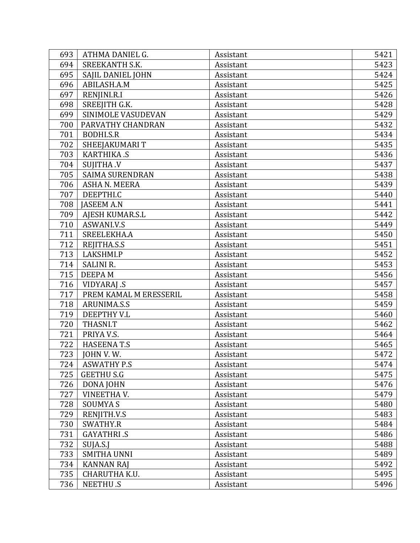| 693 | ATHMA DANIEL G.        | Assistant | 5421 |
|-----|------------------------|-----------|------|
| 694 | SREEKANTH S.K.         | Assistant | 5423 |
| 695 | SAJIL DANIEL JOHN      | Assistant | 5424 |
| 696 | ABILASH.A.M            | Assistant | 5425 |
| 697 | RENJINI.R.I            | Assistant | 5426 |
| 698 | SREEJITH G.K.          | Assistant | 5428 |
| 699 | SINIMOLE VASUDEVAN     | Assistant | 5429 |
| 700 | PARVATHY CHANDRAN      | Assistant | 5432 |
| 701 | <b>BODHI.S.R</b>       | Assistant | 5434 |
| 702 | SHEEJAKUMARIT          | Assistant | 5435 |
| 703 | KARTHIKA .S            | Assistant | 5436 |
| 704 | <b>SUJITHA .V</b>      | Assistant | 5437 |
| 705 | <b>SAIMA SURENDRAN</b> | Assistant | 5438 |
| 706 | <b>ASHA N. MEERA</b>   | Assistant | 5439 |
| 707 | DEEPTHI.C              | Assistant | 5440 |
| 708 | <b>JASEEM A.N</b>      | Assistant | 5441 |
| 709 | AJESH KUMAR.S.L        | Assistant | 5442 |
| 710 | ASWANI.V.S             | Assistant | 5449 |
| 711 | SREELEKHA.A            | Assistant | 5450 |
| 712 | REJITHA.S.S            | Assistant | 5451 |
| 713 | LAKSHMI.P              | Assistant | 5452 |
| 714 | <b>SALINI R.</b>       | Assistant | 5453 |
| 715 | <b>DEEPAM</b>          | Assistant | 5456 |
| 716 | VIDYARAJ .S            | Assistant | 5457 |
| 717 | PREM KAMAL M ERESSERIL | Assistant | 5458 |
| 718 | ARUNIMA.S.S            | Assistant | 5459 |
| 719 | DEEPTHY V.L            | Assistant | 5460 |
| 720 | THASNI.T               | Assistant | 5462 |
| 721 | PRIYA V.S.             | Assistant | 5464 |
| 722 | <b>HASEENAT.S</b>      | Assistant | 5465 |
| 723 | JOHN V.W.              | Assistant | 5472 |
| 724 | <b>ASWATHY P.S</b>     | Assistant | 5474 |
| 725 | <b>GEETHU S.G</b>      | Assistant | 5475 |
| 726 | DONA JOHN              | Assistant | 5476 |
| 727 | VINEETHAV.             | Assistant | 5479 |
| 728 | <b>SOUMYAS</b>         | Assistant | 5480 |
| 729 | RENJITH.V.S            | Assistant | 5483 |
| 730 | SWATHY.R               | Assistant | 5484 |
| 731 | <b>GAYATHRI .S</b>     | Assistant | 5486 |
| 732 | SUJA.S.J               | Assistant | 5488 |
| 733 | <b>SMITHA UNNI</b>     | Assistant | 5489 |
| 734 | <b>KANNAN RAJ</b>      | Assistant | 5492 |
| 735 | CHARUTHA K.U.          | Assistant | 5495 |
| 736 | <b>NEETHU.S</b>        | Assistant | 5496 |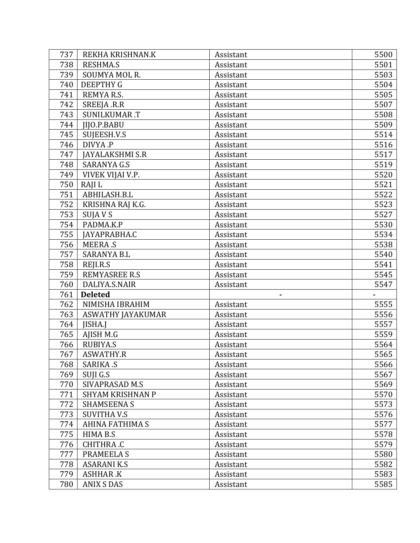| 737 | REKHA KRISHNAN.K         | Assistant | 5500 |
|-----|--------------------------|-----------|------|
| 738 | <b>RESHMA.S</b>          | Assistant | 5501 |
| 739 | SOUMYA MOL R.            | Assistant | 5503 |
| 740 | <b>DEEPTHY G</b>         | Assistant | 5504 |
| 741 | REMYAR.S.                | Assistant | 5505 |
| 742 | SREEJA .R.R              | Assistant | 5507 |
| 743 | <b>SUNILKUMAR.T</b>      | Assistant | 5508 |
| 744 | <b>IIJO.P.BABU</b>       | Assistant | 5509 |
| 745 | SUJEESH.V.S              | Assistant | 5514 |
| 746 | DIVYA.P                  | Assistant | 5516 |
| 747 | JAYALAKSHMI S.R          | Assistant | 5517 |
| 748 | <b>SARANYA G.S</b>       | Assistant | 5519 |
| 749 | VIVEK VIJAI V.P.         | Assistant | 5520 |
| 750 | RAJI L                   | Assistant | 5521 |
| 751 | ABHILASH.B.L             | Assistant | 5522 |
| 752 | KRISHNA RAJ K.G.         | Assistant | 5523 |
| 753 | SUJA V S                 | Assistant | 5527 |
| 754 | PADMA.K.P                | Assistant | 5530 |
| 755 | JAYAPRABHA.C             | Assistant | 5534 |
| 756 | <b>MEERA.S</b>           | Assistant | 5538 |
| 757 | <b>SARANYA B.L</b>       | Assistant | 5540 |
| 758 | REJI.R.S                 | Assistant | 5541 |
| 759 | <b>REMYASREE R.S</b>     | Assistant | 5545 |
| 760 | DALIYA.S.NAIR            | Assistant | 5547 |
| 761 | <b>Deleted</b>           |           |      |
| 762 | NIMISHA IBRAHIM          | Assistant | 5555 |
| 763 | <b>ASWATHY JAYAKUMAR</b> | Assistant | 5556 |
| 764 | JISHA.J                  | Assistant | 5557 |
| 765 | AJISH M.G                | Assistant | 5559 |
| 766 | <b>RUBIYA.S</b>          | Assistant | 5564 |
| 767 | <b>ASWATHY.R</b>         | Assistant | 5565 |
| 768 | <b>SARIKA .S</b>         | Assistant | 5566 |
| 769 | SUJI G.S                 | Assistant | 5567 |
| 770 | SIVAPRASAD M.S           | Assistant | 5569 |
| 771 | <b>SHYAM KRISHNAN P</b>  | Assistant | 5570 |
| 772 | <b>SHAMSEENA S</b>       | Assistant | 5573 |
| 773 | <b>SUVITHA V.S</b>       | Assistant | 5576 |
| 774 | AHINA FATHIMA S          | Assistant | 5577 |
| 775 | HIMA B.S                 | Assistant | 5578 |
| 776 | CHITHRA.C                | Assistant | 5579 |
| 777 | PRAMEELA S               | Assistant | 5580 |
|     |                          |           |      |
| 778 | <b>ASARANI K.S</b>       | Assistant | 5582 |
| 779 | <b>ASHHAR.K</b>          | Assistant | 5583 |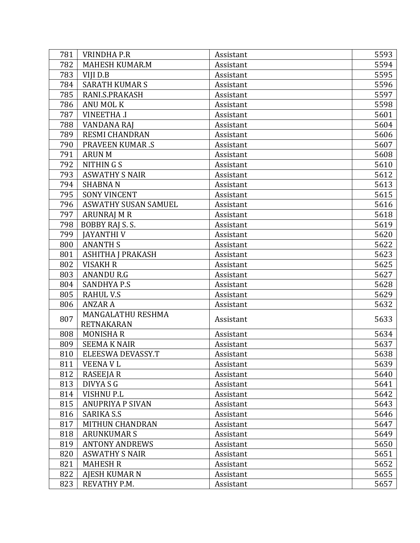| 781 | <b>VRINDHA P.R</b>          | Assistant | 5593 |
|-----|-----------------------------|-----------|------|
| 782 | <b>MAHESH KUMAR.M</b>       | Assistant | 5594 |
| 783 | VIJI D.B                    | Assistant | 5595 |
| 784 | <b>SARATH KUMAR S</b>       | Assistant | 5596 |
| 785 | RANI.S.PRAKASH              | Assistant | 5597 |
| 786 | <b>ANU MOL K</b>            | Assistant | 5598 |
| 787 | <b>VINEETHA .I</b>          | Assistant | 5601 |
| 788 | <b>VANDANA RAJ</b>          | Assistant | 5604 |
| 789 | <b>RESMI CHANDRAN</b>       | Assistant | 5606 |
| 790 | <b>PRAVEEN KUMAR.S</b>      | Assistant | 5607 |
| 791 | <b>ARUN M</b>               | Assistant | 5608 |
| 792 | NITHINGS                    | Assistant | 5610 |
| 793 | <b>ASWATHY S NAIR</b>       | Assistant | 5612 |
| 794 | <b>SHABNAN</b>              | Assistant | 5613 |
| 795 | <b>SONY VINCENT</b>         | Assistant | 5615 |
| 796 | <b>ASWATHY SUSAN SAMUEL</b> | Assistant | 5616 |
| 797 | ARUNRAJ M R                 | Assistant | 5618 |
| 798 | BOBBY RAJ S. S.             | Assistant | 5619 |
| 799 | <b>JAYANTHIV</b>            | Assistant | 5620 |
| 800 | <b>ANANTH S</b>             | Assistant | 5622 |
| 801 | ASHITHA J PRAKASH           | Assistant | 5623 |
| 802 | <b>VISAKH R</b>             | Assistant | 5625 |
| 803 | <b>ANANDU R.G</b>           | Assistant | 5627 |
| 804 | <b>SANDHYA P.S</b>          | Assistant | 5628 |
| 805 | <b>RAHUL V.S</b>            | Assistant | 5629 |
| 806 | <b>ANZAR A</b>              | Assistant | 5632 |
|     | MANGALATHU RESHMA           |           |      |
| 807 | <b>RETNAKARAN</b>           | Assistant | 5633 |
| 808 | <b>MONISHAR</b>             | Assistant | 5634 |
| 809 | <b>SEEMA K NAIR</b>         | Assistant | 5637 |
| 810 | ELEESWA DEVASSY.T           | Assistant | 5638 |
| 811 | <b>VEENAVL</b>              | Assistant | 5639 |
| 812 | <b>RASEEJA R</b>            | Assistant | 5640 |
| 813 | DIVYA S G                   | Assistant | 5641 |
| 814 | <b>VISHNUP.L</b>            | Assistant | 5642 |
| 815 | <b>ANUPRIYA P SIVAN</b>     | Assistant | 5643 |
| 816 | <b>SARIKA S.S</b>           | Assistant | 5646 |
| 817 | <b>MITHUN CHANDRAN</b>      | Assistant | 5647 |
| 818 | <b>ARUNKUMAR S</b>          | Assistant | 5649 |
| 819 | <b>ANTONY ANDREWS</b>       | Assistant | 5650 |
| 820 | <b>ASWATHY S NAIR</b>       | Assistant | 5651 |
| 821 | <b>MAHESH R</b>             | Assistant | 5652 |
| 822 | <b>AJESH KUMAR N</b>        | Assistant | 5655 |
| 823 | REVATHY P.M.                | Assistant | 5657 |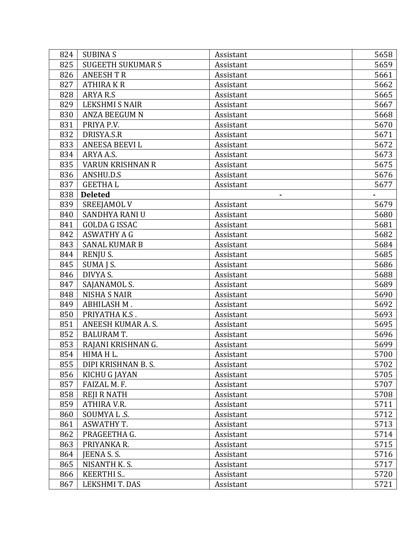| 824 | <b>SUBINAS</b>          | Assistant | 5658 |
|-----|-------------------------|-----------|------|
| 825 | <b>SUGEETH SUKUMARS</b> | Assistant | 5659 |
| 826 | <b>ANEESH T R</b>       | Assistant | 5661 |
| 827 | <b>ATHIRAKR</b>         | Assistant | 5662 |
| 828 | ARYA R.S                | Assistant | 5665 |
| 829 | <b>LEKSHMI S NAIR</b>   | Assistant | 5667 |
| 830 | <b>ANZA BEEGUM N</b>    | Assistant | 5668 |
| 831 | PRIYA P.V.              | Assistant | 5670 |
| 832 | DRISYA.S.R              | Assistant | 5671 |
| 833 | ANEESA BEEVI L          | Assistant | 5672 |
| 834 | ARYA A.S.               | Assistant | 5673 |
| 835 | <b>VARUN KRISHNAN R</b> | Assistant | 5675 |
| 836 | ANSHU.D.S               | Assistant | 5676 |
| 837 | <b>GEETHAL</b>          | Assistant | 5677 |
| 838 | <b>Deleted</b>          | ٠         |      |
| 839 | <b>SREEJAMOL V</b>      | Assistant | 5679 |
| 840 | <b>SANDHYA RANI U</b>   | Assistant | 5680 |
| 841 | <b>GOLDA G ISSAC</b>    | Assistant | 5681 |
| 842 | <b>ASWATHY A G</b>      | Assistant | 5682 |
| 843 | <b>SANAL KUMAR B</b>    | Assistant | 5684 |
| 844 | RENJU S.                | Assistant | 5685 |
| 845 | SUMA J S.               | Assistant | 5686 |
| 846 | DIVYA S.                | Assistant | 5688 |
| 847 | SAJANAMOL S.            | Assistant | 5689 |
| 848 | <b>NISHA S NAIR</b>     | Assistant | 5690 |
| 849 | ABHILASH M.             | Assistant | 5692 |
| 850 | PRIYATHA K.S.           | Assistant | 5693 |
| 851 | ANEESH KUMAR A.S.       | Assistant | 5695 |
| 852 | <b>BALURAM T.</b>       | Assistant | 5696 |
| 853 | RAJANI KRISHNAN G.      | Assistant | 5699 |
| 854 | HIMA H L.               | Assistant | 5700 |
| 855 | DIPI KRISHNAN B.S.      | Assistant | 5702 |
| 856 | KICHU G JAYAN           | Assistant | 5705 |
| 857 | FAIZAL M.F.             | Assistant | 5707 |
| 858 | <b>REJI R NATH</b>      | Assistant | 5708 |
| 859 | ATHIRA V.R.             | Assistant | 5711 |
| 860 | SOUMYA L.S.             | Assistant | 5712 |
| 861 | <b>ASWATHY T.</b>       | Assistant | 5713 |
| 862 | PRAGEETHA G.            | Assistant | 5714 |
| 863 | PRIYANKA R.             | Assistant | 5715 |
| 864 | JEENA S.S.              | Assistant | 5716 |
| 865 | NISANTH K.S.            | Assistant | 5717 |
| 866 | <b>KEERTHI S</b>        | Assistant | 5720 |
| 867 | LEKSHMIT. DAS           | Assistant | 5721 |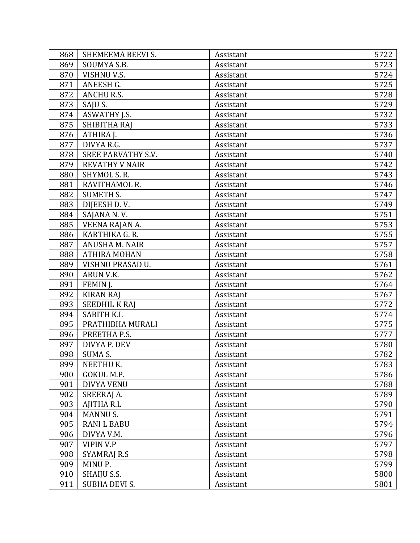| 868 | SHEMEEMA BEEVI S.         | Assistant | 5722 |
|-----|---------------------------|-----------|------|
| 869 | SOUMYA S.B.               | Assistant | 5723 |
| 870 | VISHNU V.S.               | Assistant | 5724 |
| 871 | ANEESH G.                 | Assistant | 5725 |
| 872 | <b>ANCHU R.S.</b>         | Assistant | 5728 |
| 873 | SAJU S.                   | Assistant | 5729 |
| 874 | <b>ASWATHY J.S.</b>       | Assistant | 5732 |
| 875 | SHIBITHA RAJ              | Assistant | 5733 |
| 876 | ATHIRA J.                 | Assistant | 5736 |
| 877 | DIVYA R.G.                | Assistant | 5737 |
| 878 | <b>SREE PARVATHY S.V.</b> | Assistant | 5740 |
| 879 | <b>REVATHY V NAIR</b>     | Assistant | 5742 |
| 880 | SHYMOL S. R.              | Assistant | 5743 |
| 881 | RAVITHAMOL R.             | Assistant | 5746 |
| 882 | <b>SUMETH S.</b>          | Assistant | 5747 |
| 883 | DIJEESH D.V.              | Assistant | 5749 |
| 884 | SAJANA N.V.               | Assistant | 5751 |
| 885 | VEENA RAJAN A.            | Assistant | 5753 |
| 886 | KARTHIKA G. R.            | Assistant | 5755 |
| 887 | <b>ANUSHA M. NAIR</b>     | Assistant | 5757 |
| 888 | <b>ATHIRA MOHAN</b>       | Assistant | 5758 |
| 889 | VISHNU PRASAD U.          | Assistant | 5761 |
| 890 | ARUN V.K.                 | Assistant | 5762 |
| 891 | FEMIN J.                  | Assistant | 5764 |
| 892 | <b>KIRAN RAJ</b>          | Assistant | 5767 |
| 893 | <b>SEEDHIL K RAJ</b>      | Assistant | 5772 |
| 894 | SABITH K.I.               | Assistant | 5774 |
| 895 | PRATHIBHA MURALI          | Assistant | 5775 |
| 896 | PREETHA P.S.              | Assistant | 5777 |
| 897 | DIVYA P. DEV              | Assistant | 5780 |
| 898 | <b>SUMA S.</b>            | Assistant | 5782 |
| 899 | NEETHU K.                 | Assistant | 5783 |
| 900 | GOKUL M.P.                | Assistant | 5786 |
| 901 | <b>DIVYA VENU</b>         | Assistant | 5788 |
| 902 | SREERAJ A.                | Assistant | 5789 |
| 903 | AJITHA R.L                | Assistant | 5790 |
| 904 | <b>MANNUS.</b>            | Assistant | 5791 |
| 905 | <b>RANI L BABU</b>        | Assistant | 5794 |
| 906 | DIVYA V.M.                | Assistant | 5796 |
| 907 | <b>VIPIN V.P</b>          | Assistant | 5797 |
| 908 | <b>SYAMRAJ R.S</b>        | Assistant | 5798 |
| 909 | MINU P.                   | Assistant | 5799 |
| 910 | SHAIJU S.S.               | Assistant | 5800 |
| 911 | SUBHA DEVI S.             | Assistant | 5801 |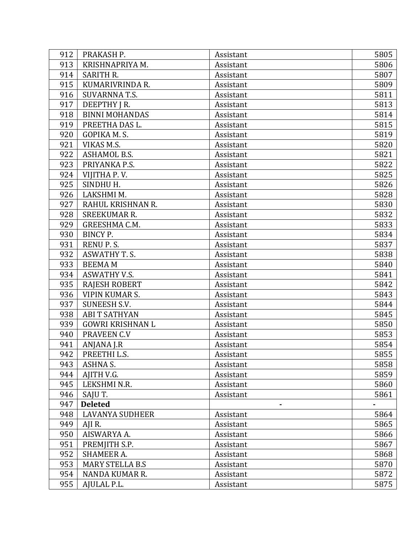| 912 | PRAKASH P.              | Assistant | 5805 |
|-----|-------------------------|-----------|------|
| 913 | KRISHNAPRIYA M.         | Assistant | 5806 |
| 914 | <b>SARITH R.</b>        | Assistant | 5807 |
| 915 | KUMARIVRINDA R.         | Assistant | 5809 |
| 916 | <b>SUVARNNA T.S.</b>    | Assistant | 5811 |
| 917 | DEEPTHY JR.             | Assistant | 5813 |
| 918 | <b>BINNI MOHANDAS</b>   | Assistant | 5814 |
| 919 | PREETHA DAS L.          | Assistant | 5815 |
| 920 | GOPIKA M.S.             | Assistant | 5819 |
| 921 | VIKAS M.S.              | Assistant | 5820 |
| 922 | <b>ASHAMOL B.S.</b>     | Assistant | 5821 |
| 923 | PRIYANKA P.S.           | Assistant | 5822 |
| 924 | VIJITHA P.V.            | Assistant | 5825 |
| 925 | SINDHU H.               | Assistant | 5826 |
| 926 | LAKSHMI M.              | Assistant | 5828 |
| 927 | RAHUL KRISHNAN R.       | Assistant | 5830 |
| 928 | <b>SREEKUMAR R.</b>     | Assistant | 5832 |
| 929 | GREESHMA C.M.           | Assistant | 5833 |
| 930 | <b>BINCY P.</b>         | Assistant | 5834 |
| 931 | RENU P.S.               | Assistant | 5837 |
| 932 | <b>ASWATHY T. S.</b>    | Assistant | 5838 |
| 933 | <b>BEEMAM</b>           | Assistant | 5840 |
| 934 | <b>ASWATHY V.S.</b>     | Assistant | 5841 |
| 935 | <b>RAJESH ROBERT</b>    | Assistant | 5842 |
| 936 | <b>VIPIN KUMAR S.</b>   | Assistant | 5843 |
| 937 | <b>SUNEESH S.V.</b>     | Assistant | 5844 |
| 938 | <b>ABI T SATHYAN</b>    | Assistant | 5845 |
| 939 | <b>GOWRI KRISHNAN L</b> | Assistant | 5850 |
| 940 | PRAVEEN C.V             | Assistant | 5853 |
| 941 | ANJANA J.R              | Assistant | 5854 |
| 942 | PREETHI L.S.            | Assistant | 5855 |
| 943 | ASHNA S.                | Assistant | 5858 |
| 944 | AJITH V.G.              | Assistant | 5859 |
| 945 | LEKSHMI N.R.            | Assistant | 5860 |
| 946 | SAJU T.                 | Assistant | 5861 |
| 947 | <b>Deleted</b>          |           |      |
| 948 | <b>LAVANYA SUDHEER</b>  | Assistant | 5864 |
| 949 | AJI R.                  | Assistant | 5865 |
| 950 | AISWARYA A.             | Assistant | 5866 |
| 951 | PREMJITH S.P.           | Assistant | 5867 |
| 952 | <b>SHAMEER A.</b>       | Assistant | 5868 |
| 953 | <b>MARY STELLA B.S</b>  | Assistant | 5870 |
| 954 | NANDA KUMAR R.          | Assistant | 5872 |
| 955 | AJULAL P.L.             | Assistant | 5875 |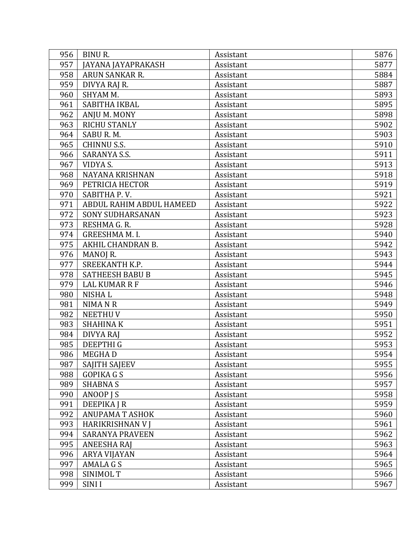| 956 | <b>BINUR.</b>            | Assistant | 5876 |
|-----|--------------------------|-----------|------|
| 957 | JAYANA JAYAPRAKASH       | Assistant | 5877 |
| 958 | ARUN SANKAR R.           | Assistant | 5884 |
| 959 | DIVYA RAJ R.             | Assistant | 5887 |
| 960 | SHYAM M.                 | Assistant | 5893 |
| 961 | SABITHA IKBAL            | Assistant | 5895 |
| 962 | ANJU M. MONY             | Assistant | 5898 |
| 963 | <b>RICHU STANLY</b>      | Assistant | 5902 |
| 964 | SABU R.M.                | Assistant | 5903 |
| 965 | <b>CHINNU S.S.</b>       | Assistant | 5910 |
| 966 | <b>SARANYA S.S.</b>      | Assistant | 5911 |
| 967 | VIDYA S.                 | Assistant | 5913 |
| 968 | NAYANA KRISHNAN          | Assistant | 5918 |
| 969 | PETRICIA HECTOR          | Assistant | 5919 |
| 970 | SABITHA P.V.             | Assistant | 5921 |
| 971 | ABDUL RAHIM ABDUL HAMEED | Assistant | 5922 |
| 972 | <b>SONY SUDHARSANAN</b>  | Assistant | 5923 |
| 973 | RESHMA G. R.             | Assistant | 5928 |
| 974 | <b>GREESHMA M. I.</b>    | Assistant | 5940 |
| 975 | AKHIL CHANDRAN B.        | Assistant | 5942 |
| 976 | MANOJ R.                 | Assistant | 5943 |
| 977 | SREEKANTH K.P.           | Assistant | 5944 |
| 978 | <b>SATHEESH BABU B</b>   | Assistant | 5945 |
| 979 | <b>LAL KUMAR R F</b>     | Assistant | 5946 |
| 980 | <b>NISHAL</b>            | Assistant | 5948 |
| 981 | NIMA N R                 | Assistant | 5949 |
| 982 | <b>NEETHUV</b>           | Assistant | 5950 |
| 983 | <b>SHAHINAK</b>          | Assistant | 5951 |
| 984 | DIVYA RAJ                | Assistant | 5952 |
| 985 | <b>DEEPTHIG</b>          | Assistant | 5953 |
| 986 | <b>MEGHAD</b>            | Assistant | 5954 |
| 987 | <b>SAJITH SAJEEV</b>     | Assistant | 5955 |
| 988 | <b>GOPIKA G S</b>        | Assistant | 5956 |
| 989 | <b>SHABNA S</b>          | Assistant | 5957 |
| 990 | ANOOP J S                | Assistant | 5958 |
| 991 | <b>DEEPIKA J R</b>       | Assistant | 5959 |
| 992 | <b>ANUPAMA T ASHOK</b>   | Assistant | 5960 |
| 993 | <b>HARIKRISHNAN V J</b>  | Assistant | 5961 |
| 994 | <b>SARANYA PRAVEEN</b>   | Assistant | 5962 |
| 995 | <b>ANEESHA RAJ</b>       | Assistant | 5963 |
| 996 | ARYA VIJAYAN             | Assistant | 5964 |
| 997 | AMALA G S                | Assistant | 5965 |
| 998 | SINIMOL T                | Assistant | 5966 |
| 999 | <b>SINII</b>             | Assistant | 5967 |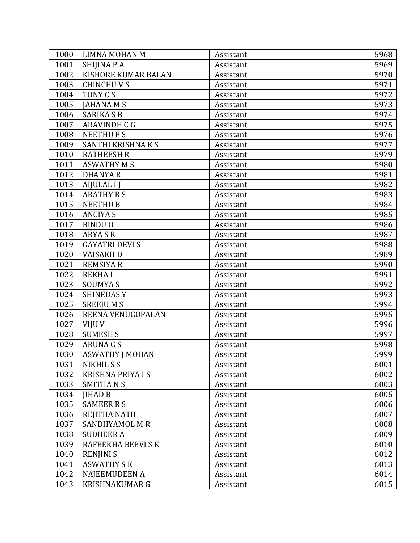| 1000 | LIMNA MOHAN M            | Assistant | 5968 |
|------|--------------------------|-----------|------|
| 1001 | SHIJINA P A              | Assistant | 5969 |
| 1002 | KISHORE KUMAR BALAN      | Assistant | 5970 |
| 1003 | <b>CHINCHUVS</b>         | Assistant | 5971 |
| 1004 | TONY C S                 | Assistant | 5972 |
| 1005 | <b>JAHANA M S</b>        | Assistant | 5973 |
| 1006 | <b>SARIKA S B</b>        | Assistant | 5974 |
| 1007 | ARAVINDH C G             | Assistant | 5975 |
| 1008 | <b>NEETHUPS</b>          | Assistant | 5976 |
| 1009 | SANTHI KRISHNA K S       | Assistant | 5977 |
| 1010 | <b>RATHEESH R</b>        | Assistant | 5979 |
| 1011 | <b>ASWATHY M S</b>       | Assistant | 5980 |
| 1012 | <b>DHANYAR</b>           | Assistant | 5981 |
| 1013 | <b>AIJULAL I J</b>       | Assistant | 5982 |
| 1014 | <b>ARATHY R S</b>        | Assistant | 5983 |
| 1015 | <b>NEETHUB</b>           | Assistant | 5984 |
| 1016 | <b>ANCIYA S</b>          | Assistant | 5985 |
| 1017 | <b>BINDUO</b>            | Assistant | 5986 |
| 1018 | <b>ARYA S R</b>          | Assistant | 5987 |
| 1019 | <b>GAYATRI DEVI S</b>    | Assistant | 5988 |
| 1020 | <b>VAISAKH D</b>         | Assistant | 5989 |
| 1021 | <b>REMSIYA R</b>         | Assistant | 5990 |
| 1022 | <b>REKHAL</b>            | Assistant | 5991 |
| 1023 | <b>SOUMYAS</b>           | Assistant | 5992 |
| 1024 | <b>SHINEDASY</b>         | Assistant | 5993 |
| 1025 | <b>SREEJUMS</b>          | Assistant | 5994 |
| 1026 | REENA VENUGOPALAN        | Assistant | 5995 |
| 1027 | VIJU V                   | Assistant | 5996 |
| 1028 | <b>SUMESH S</b>          | Assistant | 5997 |
| 1029 | <b>ARUNA G S</b>         | Assistant | 5998 |
| 1030 | <b>ASWATHY J MOHAN</b>   | Assistant | 5999 |
| 1031 | NIKHIL S S               | Assistant | 6001 |
| 1032 | <b>KRISHNA PRIYA I S</b> | Assistant | 6002 |
| 1033 | <b>SMITHANS</b>          | Assistant | 6003 |
| 1034 | <b>IIHAD B</b>           | Assistant | 6005 |
| 1035 | <b>SAMEER R S</b>        | Assistant | 6006 |
| 1036 | REJITHA NATH             | Assistant | 6007 |
| 1037 | SANDHYAMOL M R           | Assistant | 6008 |
| 1038 | <b>SUDHEER A</b>         | Assistant | 6009 |
| 1039 | RAFEEKHA BEEVI S K       | Assistant | 6010 |
| 1040 | <b>RENJINIS</b>          | Assistant | 6012 |
| 1041 | <b>ASWATHY S K</b>       | Assistant | 6013 |
| 1042 | <b>NAJEEMUDEEN A</b>     | Assistant | 6014 |
| 1043 | <b>KRISHNAKUMAR G</b>    | Assistant | 6015 |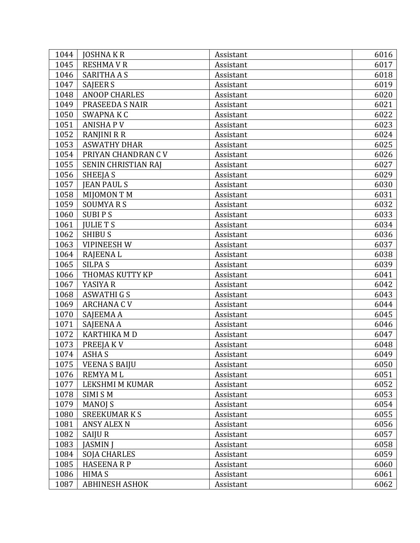| 1044 | <b>JOSHNAKR</b>            | Assistant | 6016 |
|------|----------------------------|-----------|------|
| 1045 | <b>RESHMAVR</b>            | Assistant | 6017 |
| 1046 | <b>SARITHA A S</b>         | Assistant | 6018 |
| 1047 | <b>SAJEER S</b>            | Assistant | 6019 |
| 1048 | <b>ANOOP CHARLES</b>       | Assistant | 6020 |
| 1049 | PRASEEDA S NAIR            | Assistant | 6021 |
| 1050 | SWAPNA K C                 | Assistant | 6022 |
| 1051 | <b>ANISHAPV</b>            | Assistant | 6023 |
| 1052 | <b>RANJINI R R</b>         | Assistant | 6024 |
| 1053 | <b>ASWATHY DHAR</b>        | Assistant | 6025 |
| 1054 | PRIYAN CHANDRAN C V        | Assistant | 6026 |
| 1055 | <b>SENIN CHRISTIAN RAJ</b> | Assistant | 6027 |
| 1056 | SHEEJA S                   | Assistant | 6029 |
| 1057 | <b>JEAN PAUL S</b>         | Assistant | 6030 |
| 1058 | <b>MIJOMON T M</b>         | Assistant | 6031 |
| 1059 | <b>SOUMYARS</b>            | Assistant | 6032 |
| 1060 | <b>SUBIPS</b>              | Assistant | 6033 |
| 1061 | <b>JULIE T S</b>           | Assistant | 6034 |
| 1062 | <b>SHIBUS</b>              | Assistant | 6036 |
| 1063 | <b>VIPINEESH W</b>         | Assistant | 6037 |
| 1064 | <b>RAJEENAL</b>            | Assistant | 6038 |
| 1065 | <b>SILPA S</b>             | Assistant | 6039 |
| 1066 | THOMAS KUTTY KP            | Assistant | 6041 |
| 1067 | YASIYA R                   | Assistant | 6042 |
| 1068 | <b>ASWATHI G S</b>         | Assistant | 6043 |
| 1069 | <b>ARCHANA C V</b>         | Assistant | 6044 |
| 1070 | SAJEEMA A                  | Assistant | 6045 |
| 1071 | SAJEENA A                  | Assistant | 6046 |
| 1072 | <b>KARTHIKA MD</b>         | Assistant | 6047 |
| 1073 | PREEJAKV                   | Assistant | 6048 |
| 1074 | ASHA S                     | Assistant | 6049 |
| 1075 | <b>VEENA S BAIJU</b>       | Assistant | 6050 |
| 1076 | <b>REMYAML</b>             | Assistant | 6051 |
| 1077 | LEKSHMI M KUMAR            | Assistant | 6052 |
| 1078 | <b>SIMISM</b>              | Assistant | 6053 |
| 1079 | <b>MANOJ S</b>             | Assistant | 6054 |
| 1080 | <b>SREEKUMARKS</b>         | Assistant | 6055 |
| 1081 | <b>ANSY ALEX N</b>         | Assistant | 6056 |
| 1082 | <b>SAIJUR</b>              | Assistant | 6057 |
| 1083 | <b>JASMIN J</b>            | Assistant | 6058 |
| 1084 | <b>SOJA CHARLES</b>        | Assistant | 6059 |
| 1085 | <b>HASEENARP</b>           | Assistant | 6060 |
| 1086 | <b>HIMAS</b>               | Assistant | 6061 |
| 1087 | <b>ABHINESH ASHOK</b>      | Assistant | 6062 |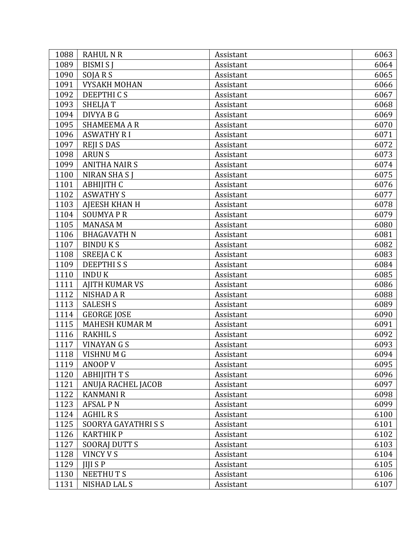| 1088 | <b>RAHUL N R</b>      | Assistant | 6063 |
|------|-----------------------|-----------|------|
| 1089 | <b>BISMIS</b> J       | Assistant | 6064 |
| 1090 | SOJARS                | Assistant | 6065 |
| 1091 | <b>VYSAKH MOHAN</b>   | Assistant | 6066 |
| 1092 | <b>DEEPTHICS</b>      | Assistant | 6067 |
| 1093 | SHELJA T              | Assistant | 6068 |
| 1094 | DIVYA B G             | Assistant | 6069 |
| 1095 | <b>SHAMEEMA A R</b>   | Assistant | 6070 |
| 1096 | <b>ASWATHY RI</b>     | Assistant | 6071 |
| 1097 | <b>REJISDAS</b>       | Assistant | 6072 |
| 1098 | <b>ARUNS</b>          | Assistant | 6073 |
| 1099 | <b>ANITHA NAIR S</b>  | Assistant | 6074 |
| 1100 | <b>NIRAN SHASI</b>    | Assistant | 6075 |
| 1101 | <b>ABHIJITH C</b>     | Assistant | 6076 |
| 1102 | <b>ASWATHY S</b>      | Assistant | 6077 |
| 1103 | <b>AJEESH KHAN H</b>  | Assistant | 6078 |
| 1104 | <b>SOUMYAPR</b>       | Assistant | 6079 |
| 1105 | <b>MANASA M</b>       | Assistant | 6080 |
| 1106 | <b>BHAGAVATH N</b>    | Assistant | 6081 |
| 1107 | <b>BINDUKS</b>        | Assistant | 6082 |
| 1108 | SREEJA C K            | Assistant | 6083 |
| 1109 | <b>DEEPTHISS</b>      | Assistant | 6084 |
| 1110 | <b>INDUK</b>          | Assistant | 6085 |
| 1111 | <b>AJITH KUMAR VS</b> | Assistant | 6086 |
| 1112 | <b>NISHAD A R</b>     | Assistant | 6088 |
| 1113 | <b>SALESH S</b>       | Assistant | 6089 |
| 1114 | <b>GEORGE JOSE</b>    | Assistant | 6090 |
| 1115 | <b>MAHESH KUMAR M</b> | Assistant | 6091 |
| 1116 | <b>RAKHIL S</b>       | Assistant | 6092 |
| 1117 | <b>VINAYAN G S</b>    | Assistant | 6093 |
| 1118 | VISHNU M G            | Assistant | 6094 |
| 1119 | <b>ANOOP V</b>        | Assistant | 6095 |
| 1120 | <b>ABHIJITH T S</b>   | Assistant | 6096 |
| 1121 | ANUJA RACHEL JACOB    | Assistant | 6097 |
| 1122 | <b>KANMANI R</b>      | Assistant | 6098 |
| 1123 | <b>AFSAL PN</b>       | Assistant | 6099 |
| 1124 | <b>AGHIL R S</b>      | Assistant | 6100 |
| 1125 | SOORYA GAYATHRISS     | Assistant | 6101 |
| 1126 | <b>KARTHIK P</b>      | Assistant | 6102 |
| 1127 | <b>SOORAJ DUTT S</b>  | Assistant | 6103 |
| 1128 | <b>VINCY V S</b>      | Assistant | 6104 |
| 1129 | <b>IIIISP</b>         | Assistant | 6105 |
| 1130 | <b>NEETHUTS</b>       | Assistant | 6106 |
| 1131 | <b>NISHAD LAL S</b>   | Assistant | 6107 |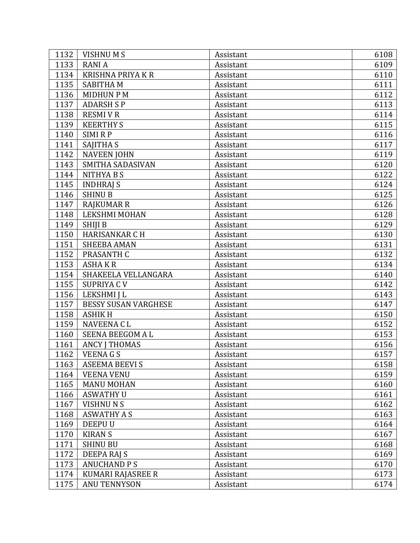| 1132 | <b>VISHNUMS</b>             | Assistant | 6108 |
|------|-----------------------------|-----------|------|
| 1133 | <b>RANIA</b>                | Assistant | 6109 |
| 1134 | <b>KRISHNA PRIYA K R</b>    | Assistant | 6110 |
| 1135 | <b>SABITHAM</b>             | Assistant | 6111 |
| 1136 | <b>MIDHUN P M</b>           | Assistant | 6112 |
| 1137 | <b>ADARSH S P</b>           | Assistant | 6113 |
| 1138 | <b>RESMIVR</b>              | Assistant | 6114 |
| 1139 | <b>KEERTHY S</b>            | Assistant | 6115 |
| 1140 | <b>SIMIRP</b>               | Assistant | 6116 |
| 1141 | <b>SAJITHA S</b>            | Assistant | 6117 |
| 1142 | <b>NAVEEN JOHN</b>          | Assistant | 6119 |
| 1143 | SMITHA SADASIVAN            | Assistant | 6120 |
| 1144 | NITHYA B S                  | Assistant | 6122 |
| 1145 | <b>INDHRAJ S</b>            | Assistant | 6124 |
| 1146 | <b>SHINU B</b>              | Assistant | 6125 |
| 1147 | <b>RAJKUMAR R</b>           | Assistant | 6126 |
| 1148 | <b>LEKSHMI MOHAN</b>        | Assistant | 6128 |
| 1149 | <b>SHIJI B</b>              | Assistant | 6129 |
| 1150 | <b>HARISANKAR C H</b>       | Assistant | 6130 |
| 1151 | <b>SHEEBA AMAN</b>          | Assistant | 6131 |
| 1152 | PRASANTH C                  | Assistant | 6132 |
| 1153 | <b>ASHAKR</b>               | Assistant | 6134 |
| 1154 | SHAKEELA VELLANGARA         | Assistant | 6140 |
| 1155 | SUPRIYA C V                 | Assistant | 6142 |
| 1156 | LEKSHMI J L                 | Assistant | 6143 |
| 1157 | <b>BESSY SUSAN VARGHESE</b> | Assistant | 6147 |
| 1158 | <b>ASHIKH</b>               | Assistant | 6150 |
| 1159 | <b>NAVEENA CL</b>           | Assistant | 6152 |
| 1160 | <b>SEENA BEEGOM A L</b>     | Assistant | 6153 |
| 1161 | <b>ANCY J THOMAS</b>        | Assistant | 6156 |
| 1162 | <b>VEENAGS</b>              | Assistant | 6157 |
| 1163 | <b>ASEEMA BEEVI S</b>       | Assistant | 6158 |
| 1164 | <b>VEENA VENU</b>           | Assistant | 6159 |
| 1165 | <b>MANU MOHAN</b>           | Assistant | 6160 |
| 1166 | <b>ASWATHY U</b>            | Assistant | 6161 |
| 1167 | <b>VISHNUNS</b>             | Assistant | 6162 |
| 1168 | <b>ASWATHY A S</b>          | Assistant | 6163 |
| 1169 | <b>DEEPUU</b>               | Assistant | 6164 |
| 1170 | <b>KIRAN S</b>              | Assistant | 6167 |
| 1171 | <b>SHINU BU</b>             | Assistant | 6168 |
| 1172 | DEEPA RAJ S                 | Assistant | 6169 |
| 1173 | <b>ANUCHAND PS</b>          | Assistant | 6170 |
| 1174 | KUMARI RAJASREE R           | Assistant | 6173 |
| 1175 | <b>ANU TENNYSON</b>         | Assistant | 6174 |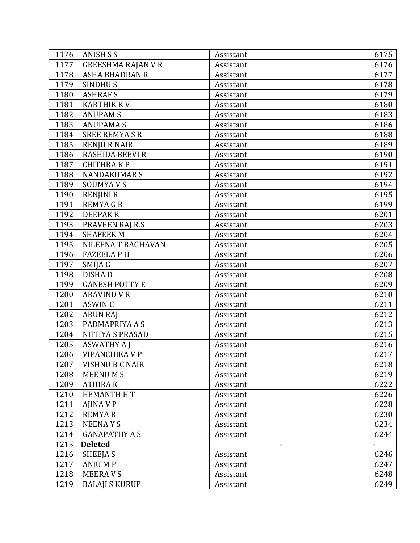| 1176 | <b>ANISH S S</b>          | Assistant | 6175 |
|------|---------------------------|-----------|------|
| 1177 | <b>GREESHMA RAJAN V R</b> | Assistant | 6176 |
| 1178 | <b>ASHA BHADRAN R</b>     | Assistant | 6177 |
| 1179 | <b>SINDHUS</b>            | Assistant | 6178 |
| 1180 | <b>ASHRAFS</b>            | Assistant | 6179 |
| 1181 | <b>KARTHIK KV</b>         | Assistant | 6180 |
| 1182 | <b>ANUPAM S</b>           | Assistant | 6183 |
| 1183 | <b>ANUPAMAS</b>           | Assistant | 6186 |
| 1184 | <b>SREE REMYASR</b>       | Assistant | 6188 |
| 1185 | <b>RENJU R NAIR</b>       | Assistant | 6189 |
| 1186 | <b>RASHIDA BEEVI R</b>    | Assistant | 6190 |
| 1187 | <b>CHITHRAKP</b>          | Assistant | 6191 |
| 1188 | <b>NANDAKUMARS</b>        | Assistant | 6192 |
| 1189 | <b>SOUMYAVS</b>           | Assistant | 6194 |
| 1190 | <b>RENJINI R</b>          | Assistant | 6195 |
| 1191 | <b>REMYAGR</b>            | Assistant | 6199 |
| 1192 | <b>DEEPAKK</b>            | Assistant | 6201 |
| 1193 | PRAVEEN RAJ R.S           | Assistant | 6203 |
| 1194 | <b>SHAFEEK M</b>          | Assistant | 6204 |
| 1195 | NILEENA T RAGHAVAN        | Assistant | 6205 |
| 1196 | <b>FAZEELA PH</b>         | Assistant | 6206 |
| 1197 | SMIJA G                   | Assistant | 6207 |
| 1198 | <b>DISHAD</b>             | Assistant | 6208 |
| 1199 | <b>GANESH POTTY E</b>     | Assistant | 6209 |
| 1200 | <b>ARAVIND V R</b>        | Assistant | 6210 |
| 1201 | <b>ASWIN C</b>            | Assistant | 6211 |
| 1202 | <b>ARUN RAJ</b>           | Assistant | 6212 |
| 1203 | PADMAPRIYA A S            | Assistant | 6213 |
| 1204 | NITHYA S PRASAD           | Assistant | 6215 |
| 1205 | <b>ASWATHY A J</b>        | Assistant | 6216 |
| 1206 | VIPANCHIKA V P            | Assistant | 6217 |
| 1207 | <b>VISHNU B C NAIR</b>    | Assistant | 6218 |
| 1208 | <b>MEENUMS</b>            | Assistant | 6219 |
| 1209 | <b>ATHIRAK</b>            | Assistant | 6222 |
| 1210 | <b>HEMANTH HT</b>         | Assistant | 6226 |
| 1211 | AJINA V P                 | Assistant | 6228 |
| 1212 | <b>REMYAR</b>             | Assistant | 6230 |
| 1213 | <b>NEENAYS</b>            | Assistant | 6234 |
| 1214 | <b>GANAPATHY A S</b>      | Assistant | 6244 |
| 1215 | <b>Deleted</b>            |           |      |
| 1216 | SHEEJA S                  | Assistant | 6246 |
| 1217 | ANJU M P                  | Assistant | 6247 |
| 1218 | <b>MEERAVS</b>            | Assistant | 6248 |
| 1219 | <b>BALAJI S KURUP</b>     | Assistant | 6249 |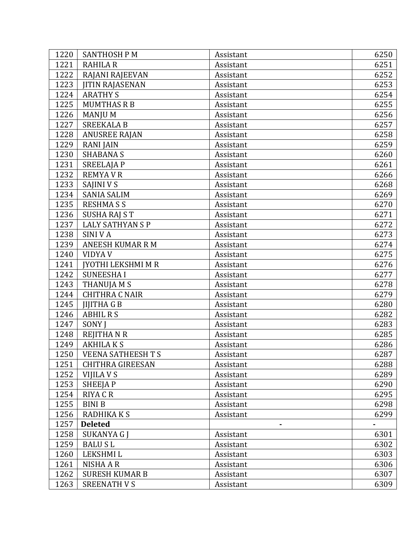| 1220 | <b>SANTHOSH PM</b>        | Assistant | 6250 |
|------|---------------------------|-----------|------|
| 1221 | <b>RAHILA R</b>           | Assistant | 6251 |
| 1222 | RAJANI RAJEEVAN           | Assistant | 6252 |
| 1223 | <b>JITIN RAJASENAN</b>    | Assistant | 6253 |
| 1224 | <b>ARATHY S</b>           | Assistant | 6254 |
| 1225 | <b>MUMTHAS R B</b>        | Assistant | 6255 |
| 1226 | <b>MANJU M</b>            | Assistant | 6256 |
| 1227 | <b>SREEKALA B</b>         | Assistant | 6257 |
| 1228 | <b>ANUSREE RAJAN</b>      | Assistant | 6258 |
| 1229 | <b>RANIJAIN</b>           | Assistant | 6259 |
| 1230 | <b>SHABANA S</b>          | Assistant | 6260 |
| 1231 | <b>SREELAJAP</b>          | Assistant | 6261 |
| 1232 | <b>REMYAVR</b>            | Assistant | 6266 |
| 1233 | SAJINI V S                | Assistant | 6268 |
| 1234 | <b>SANIA SALIM</b>        | Assistant | 6269 |
| 1235 | <b>RESHMASS</b>           | Assistant | 6270 |
| 1236 | <b>SUSHA RAJ S T</b>      | Assistant | 6271 |
| 1237 | <b>LALY SATHYAN S P</b>   | Assistant | 6272 |
| 1238 | <b>SINIVA</b>             | Assistant | 6273 |
| 1239 | <b>ANEESH KUMAR R M</b>   | Assistant | 6274 |
| 1240 | <b>VIDYA V</b>            | Assistant | 6275 |
| 1241 | <b>JYOTHI LEKSHMI M R</b> | Assistant | 6276 |
| 1242 | <b>SUNEESHAI</b>          | Assistant | 6277 |
| 1243 | THANUJA M S               | Assistant | 6278 |
| 1244 | <b>CHITHRA C NAIR</b>     | Assistant | 6279 |
| 1245 | <b>JIJITHA G B</b>        | Assistant | 6280 |
| 1246 | <b>ABHIL R S</b>          | Assistant | 6282 |
| 1247 | SONY J                    | Assistant | 6283 |
| 1248 | <b>REJITHANR</b>          | Assistant | 6285 |
| 1249 | <b>AKHILAKS</b>           | Assistant | 6286 |
| 1250 | <b>VEENA SATHEESH T S</b> | Assistant | 6287 |
| 1251 | <b>CHITHRA GIREESAN</b>   | Assistant | 6288 |
| 1252 | VIJILA V S                | Assistant | 6289 |
| 1253 | SHEEJA P                  | Assistant | 6290 |
| 1254 | <b>RIYA C R</b>           | Assistant | 6295 |
| 1255 | <b>BINIB</b>              | Assistant | 6298 |
| 1256 | RADHIKA K S               | Assistant | 6299 |
| 1257 | <b>Deleted</b>            |           |      |
| 1258 | SUKANYA G J               | Assistant | 6301 |
| 1259 | <b>BALUSL</b>             | Assistant | 6302 |
| 1260 | <b>LEKSHMIL</b>           | Assistant | 6303 |
| 1261 | NISHA A R                 | Assistant | 6306 |
| 1262 | <b>SURESH KUMAR B</b>     | Assistant | 6307 |
| 1263 | <b>SREENATH V S</b>       | Assistant | 6309 |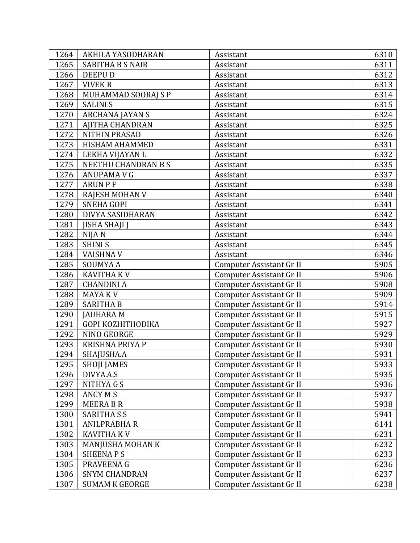| 1264 | AKHILA YASODHARAN       | Assistant                | 6310 |
|------|-------------------------|--------------------------|------|
| 1265 | <b>SABITHA B S NAIR</b> | Assistant                | 6311 |
| 1266 | <b>DEEPUD</b>           | Assistant                | 6312 |
| 1267 | <b>VIVEK R</b>          | Assistant                | 6313 |
| 1268 | MUHAMMAD SOORAJ S P     | Assistant                | 6314 |
| 1269 | <b>SALINIS</b>          | Assistant                | 6315 |
| 1270 | <b>ARCHANA JAYAN S</b>  | Assistant                | 6324 |
| 1271 | <b>AJITHA CHANDRAN</b>  | Assistant                | 6325 |
| 1272 | <b>NITHIN PRASAD</b>    | Assistant                | 6326 |
| 1273 | <b>HISHAM AHAMMED</b>   | Assistant                | 6331 |
| 1274 | LEKHA VIJAYAN L         | Assistant                | 6332 |
| 1275 | NEETHU CHANDRAN B S     | Assistant                | 6335 |
| 1276 | ANUPAMA V G             | Assistant                | 6337 |
| 1277 | <b>ARUN P F</b>         | Assistant                | 6338 |
| 1278 | <b>RAJESH MOHAN V</b>   | Assistant                | 6340 |
| 1279 | <b>SNEHA GOPI</b>       | Assistant                | 6341 |
| 1280 | DIVYA SASIDHARAN        | Assistant                | 6342 |
| 1281 | <b>JISHA SHAJI J</b>    | Assistant                | 6343 |
| 1282 | NIJA N                  | Assistant                | 6344 |
| 1283 | <b>SHINIS</b>           | Assistant                | 6345 |
| 1284 | <b>VAISHNAV</b>         | Assistant                | 6346 |
| 1285 | <b>SOUMYAA</b>          | Computer Assistant Gr II | 5905 |
| 1286 | <b>KAVITHA KV</b>       | Computer Assistant Gr II | 5906 |
| 1287 | <b>CHANDINI A</b>       | Computer Assistant Gr II | 5908 |
| 1288 | MAYA K V                | Computer Assistant Gr II | 5909 |
| 1289 | <b>SARITHA B</b>        | Computer Assistant Gr II | 5914 |
| 1290 | <b>JAUHARA M</b>        | Computer Assistant Gr II | 5915 |
| 1291 | GOPI KOZHITHODIKA       | Computer Assistant Gr II | 5927 |
| 1292 | NINO GEORGE             | Computer Assistant Gr II | 5929 |
| 1293 | <b>KRISHNA PRIYA P</b>  | Computer Assistant Gr II | 5930 |
| 1294 | SHAJUSHA.A              | Computer Assistant Gr II | 5931 |
| 1295 | <b>SHOJI JAMES</b>      | Computer Assistant Gr II | 5933 |
| 1296 | DIVYA.A.S               | Computer Assistant Gr II | 5935 |
| 1297 | NITHYA G S              | Computer Assistant Gr II | 5936 |
| 1298 | <b>ANCY M S</b>         | Computer Assistant Gr II | 5937 |
| 1299 | <b>MEERA B R</b>        | Computer Assistant Gr II | 5938 |
| 1300 | <b>SARITHA S S</b>      | Computer Assistant Gr II | 5941 |
| 1301 | <b>ANILPRABHA R</b>     | Computer Assistant Gr II | 6141 |
| 1302 | <b>KAVITHA KV</b>       | Computer Assistant Gr II | 6231 |
| 1303 | MANJUSHA MOHAN K        | Computer Assistant Gr II | 6232 |
| 1304 | <b>SHEENAPS</b>         | Computer Assistant Gr II | 6233 |
| 1305 | PRAVEENA G              | Computer Assistant Gr II | 6236 |
| 1306 | <b>SNYM CHANDRAN</b>    | Computer Assistant Gr II | 6237 |
| 1307 | <b>SUMAM K GEORGE</b>   | Computer Assistant Gr II | 6238 |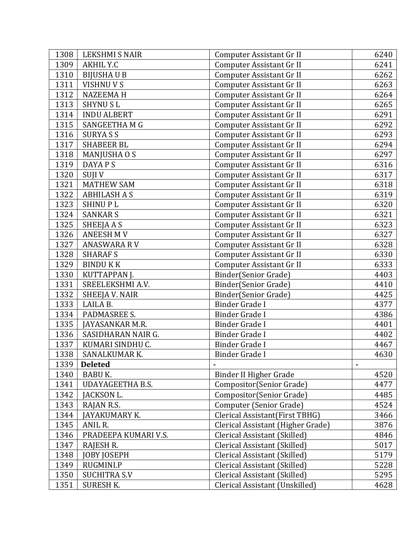| 1308 | LEKSHMI S NAIR          | Computer Assistant Gr II          | 6240           |
|------|-------------------------|-----------------------------------|----------------|
| 1309 | AKHIL Y.C               | Computer Assistant Gr II          | 6241           |
| 1310 | <b>BIJUSHAU B</b>       | Computer Assistant Gr II          | 6262           |
| 1311 | VISHNU V S              | Computer Assistant Gr II          | 6263           |
| 1312 | <b>NAZEEMAH</b>         | Computer Assistant Gr II          | 6264           |
| 1313 | <b>SHYNUSL</b>          | Computer Assistant Gr II          | 6265           |
| 1314 | <b>INDU ALBERT</b>      | Computer Assistant Gr II          | 6291           |
| 1315 | SANGEETHA M G           | Computer Assistant Gr II          | 6292           |
| 1316 | <b>SURYASS</b>          | Computer Assistant Gr II          | 6293           |
| 1317 | <b>SHABEER BL</b>       | Computer Assistant Gr II          | 6294           |
| 1318 | MANJUSHA O S            | Computer Assistant Gr II          | 6297           |
| 1319 | DAYA P S                | Computer Assistant Gr II          | 6316           |
| 1320 | SUJI V                  | Computer Assistant Gr II          | 6317           |
| 1321 | <b>MATHEW SAM</b>       | Computer Assistant Gr II          | 6318           |
| 1322 | <b>ABHILASH A S</b>     | Computer Assistant Gr II          | 6319           |
| 1323 | <b>SHINUPL</b>          | Computer Assistant Gr II          | 6320           |
| 1324 | <b>SANKAR S</b>         | Computer Assistant Gr II          | 6321           |
| 1325 | SHEEJA A S              | Computer Assistant Gr II          | 6323           |
| 1326 | <b>ANEESH MV</b>        | Computer Assistant Gr II          | 6327           |
| 1327 | <b>ANASWARA RV</b>      | Computer Assistant Gr II          | 6328           |
| 1328 | <b>SHARAFS</b>          | Computer Assistant Gr II          | 6330           |
| 1329 | <b>BINDU K K</b>        | Computer Assistant Gr II          | 6333           |
| 1330 | KUTTAPPAN J.            | Binder(Senior Grade)              | 4403           |
| 1331 | SREELEKSHMI A.V.        | Binder(Senior Grade)              | 4410           |
| 1332 | SHEEJA V. NAIR          | Binder(Senior Grade)              | 4425           |
| 1333 | LAILA B.                | <b>Binder Grade I</b>             | 4377           |
| 1334 | PADMASREE S.            | <b>Binder Grade I</b>             | 4386           |
| 1335 | JAYASANKAR M.R.         | <b>Binder Grade I</b>             | 4401           |
| 1336 | SASIDHARAN NAIR G.      | <b>Binder Grade I</b>             | 4402           |
| 1337 | KUMARI SINDHU C.        | <b>Binder Grade I</b>             | 4467           |
| 1338 | SANALKUMARK.            | Binder Grade I                    | 4630           |
| 1339 | <b>Deleted</b>          |                                   | $\blacksquare$ |
| 1340 | <b>BABU K.</b>          | Binder II Higher Grade            | 4520           |
| 1341 | <b>UDAYAGEETHA B.S.</b> | Compositor(Senior Grade)          | 4477           |
| 1342 | JACKSON L.              | Compositor(Senior Grade)          | 4485           |
| 1343 | RAJAN R.S.              | Computer (Senior Grade)           | 4524           |
| 1344 | JAYAKUMARY K.           | Clerical Assistant(First TBHG)    | 3466           |
| 1345 | ANIL R.                 | Clerical Assistant (Higher Grade) | 3876           |
| 1346 | PRADEEPA KUMARI V.S.    | Clerical Assistant (Skilled)      | 4846           |
| 1347 | RAJESH R.               | Clerical Assistant (Skilled)      | 5017           |
| 1348 | <b>JOBY JOSEPH</b>      | Clerical Assistant (Skilled)      | 5179           |
| 1349 | RUGMINI.P               | Clerical Assistant (Skilled)      | 5228           |
| 1350 | <b>SUCHITRA S.V</b>     | Clerical Assistant (Skilled)      | 5295           |
| 1351 | <b>SURESH K.</b>        | Clerical Assistant (Unskilled)    | 4628           |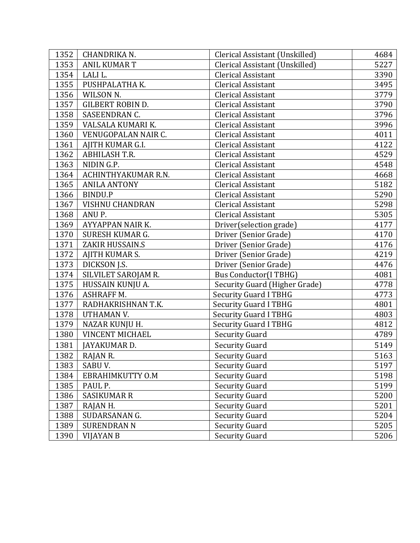| 1352 | CHANDRIKA N.            | Clerical Assistant (Unskilled) | 4684 |
|------|-------------------------|--------------------------------|------|
| 1353 | <b>ANIL KUMAR T</b>     | Clerical Assistant (Unskilled) | 5227 |
| 1354 | LALI L.                 | <b>Clerical Assistant</b>      | 3390 |
| 1355 | PUSHPALATHA K.          | <b>Clerical Assistant</b>      | 3495 |
| 1356 | WILSON N.               | <b>Clerical Assistant</b>      | 3779 |
| 1357 | <b>GILBERT ROBIN D.</b> | <b>Clerical Assistant</b>      | 3790 |
| 1358 | SASEENDRAN C.           | Clerical Assistant             | 3796 |
| 1359 | VALSALA KUMARI K.       | <b>Clerical Assistant</b>      | 3996 |
| 1360 | VENUGOPALAN NAIR C.     | <b>Clerical Assistant</b>      | 4011 |
| 1361 | AJITH KUMAR G.I.        | <b>Clerical Assistant</b>      | 4122 |
| 1362 | <b>ABHILASH T.R.</b>    | <b>Clerical Assistant</b>      | 4529 |
| 1363 | NIDIN G.P.              | <b>Clerical Assistant</b>      | 4548 |
| 1364 | ACHINTHYAKUMAR R.N.     | <b>Clerical Assistant</b>      | 4668 |
| 1365 | <b>ANILA ANTONY</b>     | <b>Clerical Assistant</b>      | 5182 |
| 1366 | BINDU.P                 | <b>Clerical Assistant</b>      | 5290 |
| 1367 | <b>VISHNU CHANDRAN</b>  | <b>Clerical Assistant</b>      | 5298 |
| 1368 | ANU P.                  | <b>Clerical Assistant</b>      | 5305 |
| 1369 | AYYAPPAN NAIR K.        | Driver(selection grade)        | 4177 |
| 1370 | SURESH KUMAR G.         | Driver (Senior Grade)          | 4170 |
| 1371 | ZAKIR HUSSAIN.S         | Driver (Senior Grade)          | 4176 |
| 1372 | AJITH KUMAR S.          | Driver (Senior Grade)          | 4219 |
| 1373 | DICKSON J.S.            | Driver (Senior Grade)          | 4476 |
| 1374 | SILVILET SAROJAM R.     | <b>Bus Conductor(I TBHG)</b>   | 4081 |
| 1375 | HUSSAIN KUNJU A.        | Security Guard (Higher Grade)  | 4778 |
| 1376 | <b>ASHRAFF M.</b>       | <b>Security Guard I TBHG</b>   | 4773 |
| 1377 | RADHAKRISHNAN T.K.      | <b>Security Guard I TBHG</b>   | 4801 |
| 1378 | UTHAMAN V.              | <b>Security Guard I TBHG</b>   | 4803 |
| 1379 | <b>NAZAR KUNJU H.</b>   | <b>Security Guard I TBHG</b>   | 4812 |
| 1380 | <b>VINCENT MICHAEL</b>  | <b>Security Guard</b>          | 4789 |
| 1381 | JAYAKUMAR D.            | <b>Security Guard</b>          | 5149 |
| 1382 | RAJAN R.                | <b>Security Guard</b>          | 5163 |
| 1383 | SABU V.                 | <b>Security Guard</b>          | 5197 |
| 1384 | EBRAHIMKUTTY O.M        | <b>Security Guard</b>          | 5198 |
| 1385 | PAUL P.                 | <b>Security Guard</b>          | 5199 |
| 1386 | SASIKUMAR R             | <b>Security Guard</b>          | 5200 |
| 1387 | RAJAN H.                | <b>Security Guard</b>          | 5201 |
| 1388 | SUDARSANAN G.           | <b>Security Guard</b>          | 5204 |
| 1389 | <b>SURENDRAN N</b>      | <b>Security Guard</b>          | 5205 |
| 1390 | VIJAYAN B               | <b>Security Guard</b>          | 5206 |